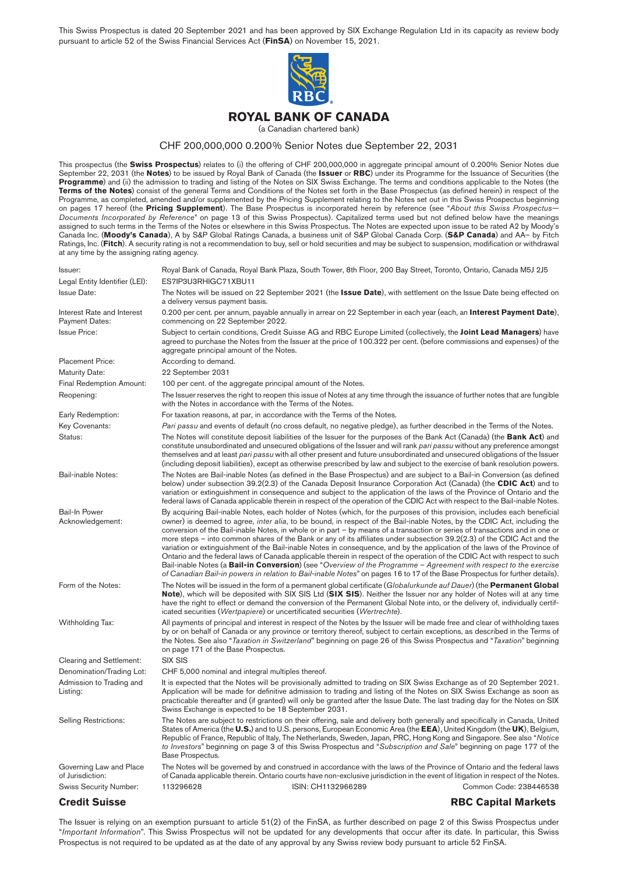This Swiss Prospectus is dated 20 September 2021 and has been approved by SIX Exchange Regulation Ltd in its capacity as review body pursuant to article 52 of the Swiss Financial Services Act (**FinSA**) on November 15, 2021.

<span id="page-0-0"></span>

#### **ROYAL BANK OF CANADA**

(a Canadian chartered bank)

#### CHF 200,000,000 0.200% Senior Notes due September 22, 2031

This prospectus (the **Swiss Prospectus**) relates to (i) the offering of CHF 200,000,000 in aggregate principal amount of 0.200% Senior Notes due September 22, 2031 (the **Notes**) to be issued by Royal Bank of Canada (the **Issuer** or **RBC**) under its Programme for the Issuance of Securities (the **Programme**) and (ii) the admission to trading and listing of the Notes on SIX Swiss Exchange. The terms and conditions applicable to the Notes (the **Terms of the Notes**) consist of the general Terms and Conditions of the Notes set forth in the Base Prospectus (as defined herein) in respect of the Programme, as completed, amended and/or supplemented by the Pricing Supplement relating to the Notes set out in this Swiss Prospectus beginning on [pages 17](#page-16-0) hereof (the **Pricing Supplement**). The Base Prospectus is incorporated herein by reference (see "*About this Swiss Prospectus— Documents Incorporated by Reference*" on [page 13](#page-12-0) of this Swiss Prospectus). Capitalized terms used but not defined below have the meanings assigned to such terms in the Terms of the Notes or elsewhere in this Swiss Prospectus. The Notes are expected upon issue to be rated A2 by Moody's Canada Inc. (**Moody's Canada**), A by S&P Global Ratings Canada, a business unit of S&P Global Canada Corp. (**S&P Canada**) and AA– by Fitch Ratings, Inc. (**Fitch**). A security rating is not a recommendation to buy, sell or hold securities and may be subject to suspension, modification or withdrawal at any time by the assigning rating agency.

| Issuer:                                             | Royal Bank of Canada, Royal Bank Plaza, South Tower, 8th Floor, 200 Bay Street, Toronto, Ontario, Canada M5J 2J5                                                                                                                                                                                                                                                                                                                                                                                                                                                                                                                                                                                                                                                                                                                                                                                                                                                                                                                                |
|-----------------------------------------------------|-------------------------------------------------------------------------------------------------------------------------------------------------------------------------------------------------------------------------------------------------------------------------------------------------------------------------------------------------------------------------------------------------------------------------------------------------------------------------------------------------------------------------------------------------------------------------------------------------------------------------------------------------------------------------------------------------------------------------------------------------------------------------------------------------------------------------------------------------------------------------------------------------------------------------------------------------------------------------------------------------------------------------------------------------|
| Legal Entity Identifier (LEI):                      | ES7IP3U3RHIGC71XBU11                                                                                                                                                                                                                                                                                                                                                                                                                                                                                                                                                                                                                                                                                                                                                                                                                                                                                                                                                                                                                            |
| <b>Issue Date:</b>                                  | The Notes will be issued on 22 September 2021 (the <b>Issue Date</b> ), with settlement on the Issue Date being effected on<br>a delivery versus payment basis.                                                                                                                                                                                                                                                                                                                                                                                                                                                                                                                                                                                                                                                                                                                                                                                                                                                                                 |
| Interest Rate and Interest<br><b>Payment Dates:</b> | 0.200 per cent. per annum, payable annually in arrear on 22 September in each year (each, an <b>Interest Payment Date</b> ),<br>commencing on 22 September 2022.                                                                                                                                                                                                                                                                                                                                                                                                                                                                                                                                                                                                                                                                                                                                                                                                                                                                                |
| <b>Issue Price:</b>                                 | Subject to certain conditions, Credit Suisse AG and RBC Europe Limited (collectively, the Joint Lead Managers) have<br>agreed to purchase the Notes from the Issuer at the price of 100.322 per cent. (before commissions and expenses) of the<br>aggregate principal amount of the Notes.                                                                                                                                                                                                                                                                                                                                                                                                                                                                                                                                                                                                                                                                                                                                                      |
| <b>Placement Price:</b>                             | According to demand.                                                                                                                                                                                                                                                                                                                                                                                                                                                                                                                                                                                                                                                                                                                                                                                                                                                                                                                                                                                                                            |
| <b>Maturity Date:</b>                               | 22 September 2031                                                                                                                                                                                                                                                                                                                                                                                                                                                                                                                                                                                                                                                                                                                                                                                                                                                                                                                                                                                                                               |
| Final Redemption Amount:                            | 100 per cent. of the aggregate principal amount of the Notes.                                                                                                                                                                                                                                                                                                                                                                                                                                                                                                                                                                                                                                                                                                                                                                                                                                                                                                                                                                                   |
| Reopening:                                          | The Issuer reserves the right to reopen this issue of Notes at any time through the issuance of further notes that are fungible<br>with the Notes in accordance with the Terms of the Notes.                                                                                                                                                                                                                                                                                                                                                                                                                                                                                                                                                                                                                                                                                                                                                                                                                                                    |
| Early Redemption:                                   | For taxation reasons, at par, in accordance with the Terms of the Notes.                                                                                                                                                                                                                                                                                                                                                                                                                                                                                                                                                                                                                                                                                                                                                                                                                                                                                                                                                                        |
| Key Covenants:                                      | Pari passu and events of default (no cross default, no negative pledge), as further described in the Terms of the Notes.                                                                                                                                                                                                                                                                                                                                                                                                                                                                                                                                                                                                                                                                                                                                                                                                                                                                                                                        |
| Status:                                             | The Notes will constitute deposit liabilities of the Issuer for the purposes of the Bank Act (Canada) (the <b>Bank Act</b> ) and<br>constitute unsubordinated and unsecured obligations of the Issuer and will rank pari passu without any preference amongst<br>themselves and at least pari passu with all other present and future unsubordinated and unsecured obligations of the Issuer<br>(including deposit liabilities), except as otherwise prescribed by law and subject to the exercise of bank resolution powers.                                                                                                                                                                                                                                                                                                                                                                                                                                                                                                                   |
| Bail-inable Notes:                                  | The Notes are Bail-inable Notes (as defined in the Base Prospectus) and are subject to a Bail-in Conversion (as defined<br>below) under subsection 39.2(2.3) of the Canada Deposit Insurance Corporation Act (Canada) (the CDIC Act) and to<br>variation or extinguishment in consequence and subject to the application of the laws of the Province of Ontario and the<br>federal laws of Canada applicable therein in respect of the operation of the CDIC Act with respect to the Bail-inable Notes.                                                                                                                                                                                                                                                                                                                                                                                                                                                                                                                                         |
| <b>Bail-In Power</b><br>Acknowledgement:            | By acquiring Bail-inable Notes, each holder of Notes (which, for the purposes of this provision, includes each beneficial<br>owner) is deemed to agree, <i>inter alia</i> , to be bound, in respect of the Bail-inable Notes, by the CDIC Act, including the<br>conversion of the Bail-inable Notes, in whole or in part – by means of a transaction or series of transactions and in one or<br>more steps – into common shares of the Bank or any of its affiliates under subsection 39.2(2.3) of the CDIC Act and the<br>variation or extinguishment of the Bail-inable Notes in consequence, and by the application of the laws of the Province of<br>Ontario and the federal laws of Canada applicable therein in respect of the operation of the CDIC Act with respect to such<br>Bail-inable Notes (a <b>Bail-in Conversion</b> ) (see "Overview of the Programme – Agreement with respect to the exercise<br>of Canadian Bail-in powers in relation to Bail-inable Notes" on pages 16 to 17 of the Base Prospectus for further details). |
| Form of the Notes:                                  | The Notes will be issued in the form of a permanent global certificate (Globalurkunde auf Dauer) (the <b>Permanent Global</b><br><b>Note</b> ), which will be deposited with SIX SIS Ltd (SIX SIS). Neither the Issuer nor any holder of Notes will at any time<br>have the right to effect or demand the conversion of the Permanent Global Note into, or the delivery of, individually certif-<br>icated securities (Wertpapiere) or uncertificated securities (Wertrechte).                                                                                                                                                                                                                                                                                                                                                                                                                                                                                                                                                                  |
| Withholding Tax:                                    | All payments of principal and interest in respect of the Notes by the Issuer will be made free and clear of withholding taxes<br>by or on behalf of Canada or any province or territory thereof, subject to certain exceptions, as described in the Terms of<br>the Notes. See also "Taxation in Switzerland" beginning on page 26 of this Swiss Prospectus and "Taxation" beginning<br>on page 171 of the Base Prospectus.                                                                                                                                                                                                                                                                                                                                                                                                                                                                                                                                                                                                                     |
| Clearing and Settlement:                            | <b>SIX SIS</b>                                                                                                                                                                                                                                                                                                                                                                                                                                                                                                                                                                                                                                                                                                                                                                                                                                                                                                                                                                                                                                  |
| Denomination/Trading Lot:                           | CHF 5,000 nominal and integral multiples thereof.                                                                                                                                                                                                                                                                                                                                                                                                                                                                                                                                                                                                                                                                                                                                                                                                                                                                                                                                                                                               |
| Admission to Trading and<br>Listing:                | It is expected that the Notes will be provisionally admitted to trading on SIX Swiss Exchange as of 20 September 2021.<br>Application will be made for definitive admission to trading and listing of the Notes on SIX Swiss Exchange as soon as<br>practicable thereafter and (if granted) will only be granted after the Issue Date. The last trading day for the Notes on SIX<br>Swiss Exchange is expected to be 18 September 2031.                                                                                                                                                                                                                                                                                                                                                                                                                                                                                                                                                                                                         |
| <b>Selling Restrictions:</b>                        | The Notes are subject to restrictions on their offering, sale and delivery both generally and specifically in Canada, United<br>States of America (the U.S.) and to U.S. persons, European Economic Area (the EEA), United Kingdom (the UK), Belgium,<br>Republic of France, Republic of Italy, The Netherlands, Sweden, Japan, PRC, Hong Kong and Singapore. See also "Notice<br>to Investors" beginning on page 3 of this Swiss Prospectus and "Subscription and Sale" beginning on page 177 of the<br>Base Prospectus.                                                                                                                                                                                                                                                                                                                                                                                                                                                                                                                       |
| Governing Law and Place<br>of Jurisdiction:         | The Notes will be governed by and construed in accordance with the laws of the Province of Ontario and the federal laws<br>of Canada applicable therein. Ontario courts have non-exclusive jurisdiction in the event of litigation in respect of the Notes.                                                                                                                                                                                                                                                                                                                                                                                                                                                                                                                                                                                                                                                                                                                                                                                     |
| <b>Swiss Security Number:</b>                       | Common Code: 238446538<br>113296628<br>ISIN: CH1132966289                                                                                                                                                                                                                                                                                                                                                                                                                                                                                                                                                                                                                                                                                                                                                                                                                                                                                                                                                                                       |
| <b>Credit Suisse</b>                                | <b>RBC Capital Markets</b>                                                                                                                                                                                                                                                                                                                                                                                                                                                                                                                                                                                                                                                                                                                                                                                                                                                                                                                                                                                                                      |

The Issuer is relying on an exemption pursuant to article 51(2) of the FinSA, as further described on [page 2](#page-1-0) of this Swiss Prospectus under "*Important Information*". This Swiss Prospectus will not be updated for any developments that occur after its date. In particular, this Swiss Prospectus is not required to be updated as at the date of any approval by any Swiss review body pursuant to article 52 FinSA.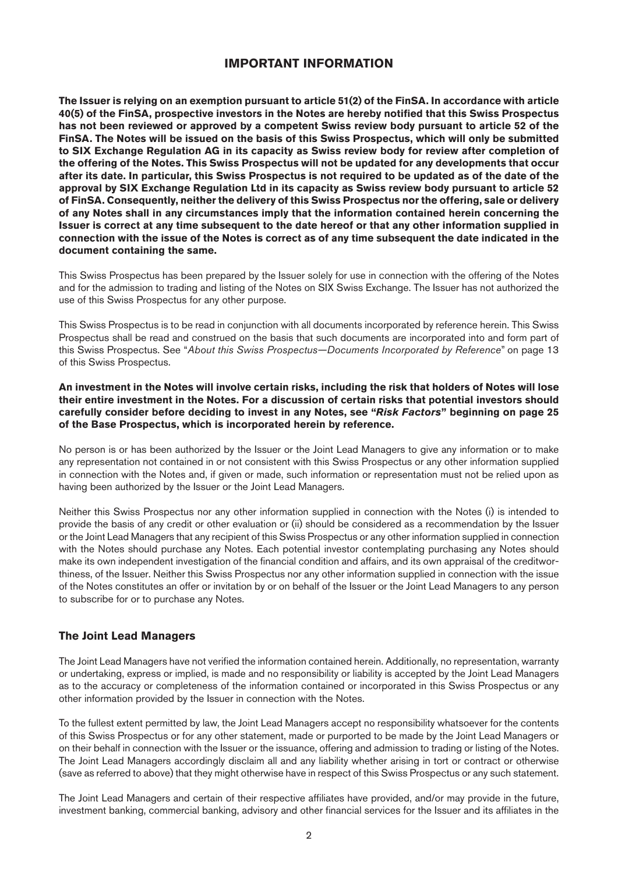# <span id="page-1-0"></span>**IMPORTANT INFORMATION**

<span id="page-1-1"></span>**The Issuer is relying on an exemption pursuant to article 51(2) of the FinSA. In accordance with article 40(5) of the FinSA, prospective investors in the Notes are hereby notified that this Swiss Prospectus has not been reviewed or approved by a competent Swiss review body pursuant to article 52 of the FinSA. The Notes will be issued on the basis of this Swiss Prospectus, which will only be submitted to SIX Exchange Regulation AG in its capacity as Swiss review body for review after completion of the offering of the Notes. This Swiss Prospectus will not be updated for any developments that occur after its date. In particular, this Swiss Prospectus is not required to be updated as of the date of the approval by SIX Exchange Regulation Ltd in its capacity as Swiss review body pursuant to article 52 of FinSA. Consequently, neither the delivery of this Swiss Prospectus nor the offering, sale or delivery of any Notes shall in any circumstances imply that the information contained herein concerning the Issuer is correct at any time subsequent to the date hereof or that any other information supplied in connection with the issue of the Notes is correct as of any time subsequent the date indicated in the document containing the same.**

This Swiss Prospectus has been prepared by the Issuer solely for use in connection with the offering of the Notes and for the admission to trading and listing of the Notes on SIX Swiss Exchange. The Issuer has not authorized the use of this Swiss Prospectus for any other purpose.

This Swiss Prospectus is to be read in conjunction with all documents incorporated by reference herein. This Swiss Prospectus shall be read and construed on the basis that such documents are incorporated into and form part of this Swiss Prospectus. See "*About this Swiss Prospectus—Documents Incorporated by Reference*" on [page 13](#page-12-0) of this Swiss Prospectus.

#### **An investment in the Notes will involve certain risks, including the risk that holders of Notes will lose their entire investment in the Notes. For a discussion of certain risks that potential investors should carefully consider before deciding to invest in any Notes, see "***Risk Factors***" beginning on page 25 of the Base Prospectus, which is incorporated herein by reference.**

No person is or has been authorized by the Issuer or the Joint Lead Managers to give any information or to make any representation not contained in or not consistent with this Swiss Prospectus or any other information supplied in connection with the Notes and, if given or made, such information or representation must not be relied upon as having been authorized by the Issuer or the Joint Lead Managers.

Neither this Swiss Prospectus nor any other information supplied in connection with the Notes (i) is intended to provide the basis of any credit or other evaluation or (ii) should be considered as a recommendation by the Issuer or the Joint Lead Managers that any recipient of this Swiss Prospectus or any other information supplied in connection with the Notes should purchase any Notes. Each potential investor contemplating purchasing any Notes should make its own independent investigation of the financial condition and affairs, and its own appraisal of the creditworthiness, of the Issuer. Neither this Swiss Prospectus nor any other information supplied in connection with the issue of the Notes constitutes an offer or invitation by or on behalf of the Issuer or the Joint Lead Managers to any person to subscribe for or to purchase any Notes.

# **The Joint Lead Managers**

The Joint Lead Managers have not verified the information contained herein. Additionally, no representation, warranty or undertaking, express or implied, is made and no responsibility or liability is accepted by the Joint Lead Managers as to the accuracy or completeness of the information contained or incorporated in this Swiss Prospectus or any other information provided by the Issuer in connection with the Notes.

To the fullest extent permitted by law, the Joint Lead Managers accept no responsibility whatsoever for the contents of this Swiss Prospectus or for any other statement, made or purported to be made by the Joint Lead Managers or on their behalf in connection with the Issuer or the issuance, offering and admission to trading or listing of the Notes. The Joint Lead Managers accordingly disclaim all and any liability whether arising in tort or contract or otherwise (save as referred to above) that they might otherwise have in respect of this Swiss Prospectus or any such statement.

The Joint Lead Managers and certain of their respective affiliates have provided, and/or may provide in the future, investment banking, commercial banking, advisory and other financial services for the Issuer and its affiliates in the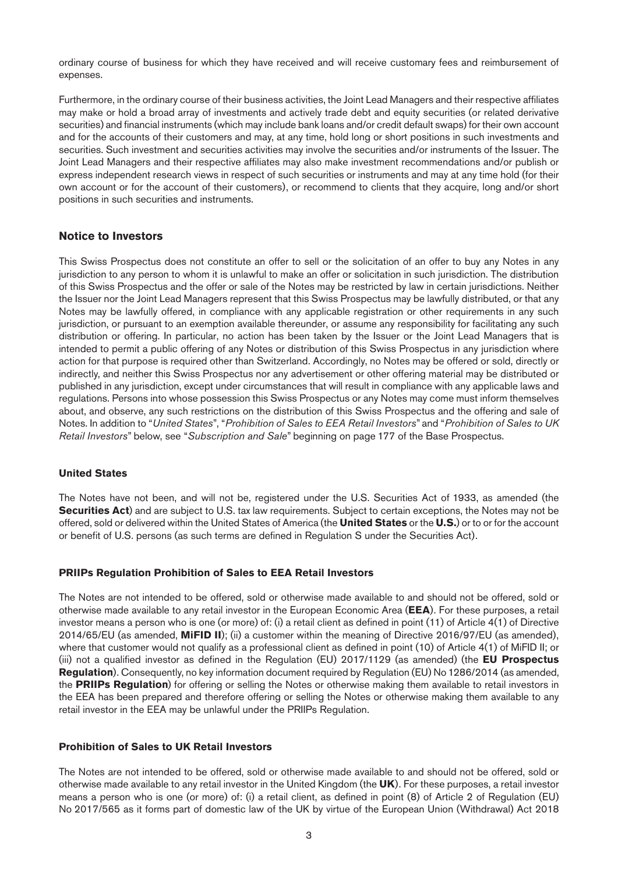<span id="page-2-1"></span>ordinary course of business for which they have received and will receive customary fees and reimbursement of expenses.

Furthermore, in the ordinary course of their business activities, the Joint Lead Managers and their respective affiliates may make or hold a broad array of investments and actively trade debt and equity securities (or related derivative securities) and financial instruments (which may include bank loans and/or credit default swaps) for their own account and for the accounts of their customers and may, at any time, hold long or short positions in such investments and securities. Such investment and securities activities may involve the securities and/or instruments of the Issuer. The Joint Lead Managers and their respective affiliates may also make investment recommendations and/or publish or express independent research views in respect of such securities or instruments and may at any time hold (for their own account or for the account of their customers), or recommend to clients that they acquire, long and/or short positions in such securities and instruments.

### <span id="page-2-0"></span>**Notice to Investors**

This Swiss Prospectus does not constitute an offer to sell or the solicitation of an offer to buy any Notes in any jurisdiction to any person to whom it is unlawful to make an offer or solicitation in such jurisdiction. The distribution of this Swiss Prospectus and the offer or sale of the Notes may be restricted by law in certain jurisdictions. Neither the Issuer nor the Joint Lead Managers represent that this Swiss Prospectus may be lawfully distributed, or that any Notes may be lawfully offered, in compliance with any applicable registration or other requirements in any such jurisdiction, or pursuant to an exemption available thereunder, or assume any responsibility for facilitating any such distribution or offering. In particular, no action has been taken by the Issuer or the Joint Lead Managers that is intended to permit a public offering of any Notes or distribution of this Swiss Prospectus in any jurisdiction where action for that purpose is required other than Switzerland. Accordingly, no Notes may be offered or sold, directly or indirectly, and neither this Swiss Prospectus nor any advertisement or other offering material may be distributed or published in any jurisdiction, except under circumstances that will result in compliance with any applicable laws and regulations. Persons into whose possession this Swiss Prospectus or any Notes may come must inform themselves about, and observe, any such restrictions on the distribution of this Swiss Prospectus and the offering and sale of Notes. In addition to "*United States*", "*Prohibition of Sales to EEA Retail Investors*" and "*Prohibition of Sales to UK Retail Investors*" below, see "*Subscription and Sale*" beginning on page 177 of the Base Prospectus.

#### **United States**

The Notes have not been, and will not be, registered under the U.S. Securities Act of 1933, as amended (the **Securities Act**) and are subject to U.S. tax law requirements. Subject to certain exceptions, the Notes may not be offered, sold or delivered within the United States of America (the **United States** or the **U.S.**) or to or for the account or benefit of U.S. persons (as such terms are defined in Regulation S under the Securities Act).

#### **PRIIPs Regulation Prohibition of Sales to EEA Retail Investors**

The Notes are not intended to be offered, sold or otherwise made available to and should not be offered, sold or otherwise made available to any retail investor in the European Economic Area (**EEA**). For these purposes, a retail investor means a person who is one (or more) of: (i) a retail client as defined in point (11) of Article 4(1) of Directive 2014/65/EU (as amended, **MiFID II**); (ii) a customer within the meaning of Directive 2016/97/EU (as amended), where that customer would not qualify as a professional client as defined in point (10) of Article 4(1) of MiFID II; or (iii) not a qualified investor as defined in the Regulation (EU) 2017/1129 (as amended) (the **EU Prospectus Regulation**). Consequently, no key information document required by Regulation (EU) No 1286/2014 (as amended, the **PRIIPs Regulation**) for offering or selling the Notes or otherwise making them available to retail investors in the EEA has been prepared and therefore offering or selling the Notes or otherwise making them available to any retail investor in the EEA may be unlawful under the PRIIPs Regulation.

### **Prohibition of Sales to UK Retail Investors**

The Notes are not intended to be offered, sold or otherwise made available to and should not be offered, sold or otherwise made available to any retail investor in the United Kingdom (the **UK**). For these purposes, a retail investor means a person who is one (or more) of: (i) a retail client, as defined in point (8) of Article 2 of Regulation (EU) No 2017/565 as it forms part of domestic law of the UK by virtue of the European Union (Withdrawal) Act 2018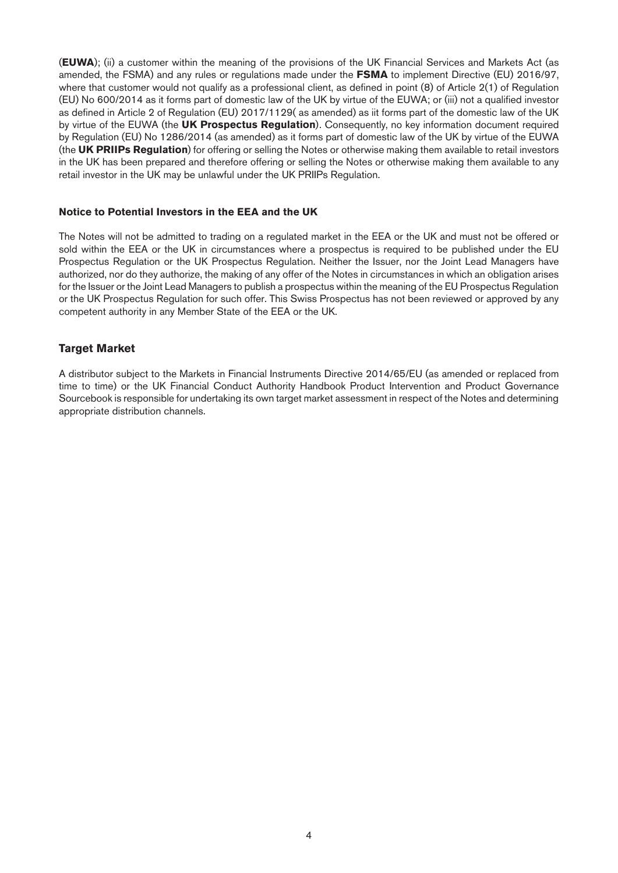<span id="page-3-0"></span>(**EUWA**); (ii) a customer within the meaning of the provisions of the UK Financial Services and Markets Act (as amended, the FSMA) and any rules or regulations made under the **FSMA** to implement Directive (EU) 2016/97, where that customer would not qualify as a professional client, as defined in point (8) of Article 2(1) of Regulation (EU) No 600/2014 as it forms part of domestic law of the UK by virtue of the EUWA; or (iii) not a qualified investor as defined in Article 2 of Regulation (EU) 2017/1129( as amended) as iit forms part of the domestic law of the UK by virtue of the EUWA (the **UK Prospectus Regulation**). Consequently, no key information document required by Regulation (EU) No 1286/2014 (as amended) as it forms part of domestic law of the UK by virtue of the EUWA (the **UK PRIIPs Regulation**) for offering or selling the Notes or otherwise making them available to retail investors in the UK has been prepared and therefore offering or selling the Notes or otherwise making them available to any retail investor in the UK may be unlawful under the UK PRIIPs Regulation.

#### **Notice to Potential Investors in the EEA and the UK**

The Notes will not be admitted to trading on a regulated market in the EEA or the UK and must not be offered or sold within the EEA or the UK in circumstances where a prospectus is required to be published under the EU Prospectus Regulation or the UK Prospectus Regulation. Neither the Issuer, nor the Joint Lead Managers have authorized, nor do they authorize, the making of any offer of the Notes in circumstances in which an obligation arises for the Issuer or the Joint Lead Managers to publish a prospectus within the meaning of the EU Prospectus Regulation or the UK Prospectus Regulation for such offer. This Swiss Prospectus has not been reviewed or approved by any competent authority in any Member State of the EEA or the UK.

### **Target Market**

A distributor subject to the Markets in Financial Instruments Directive 2014/65/EU (as amended or replaced from time to time) or the UK Financial Conduct Authority Handbook Product Intervention and Product Governance Sourcebook is responsible for undertaking its own target market assessment in respect of the Notes and determining appropriate distribution channels.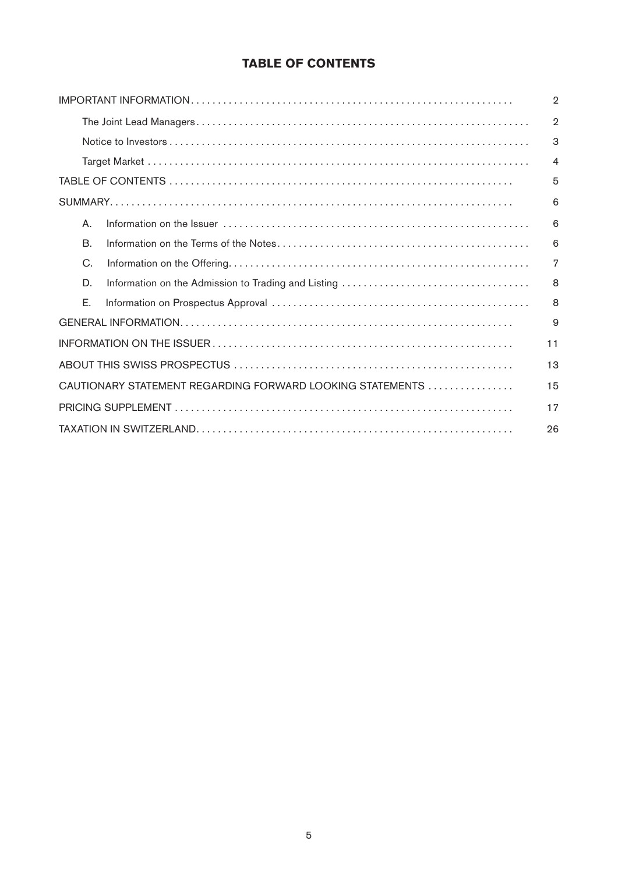# **TABLE OF CONTENTS**

|           |                                                           | $\overline{2}$ |
|-----------|-----------------------------------------------------------|----------------|
|           |                                                           | $\overline{2}$ |
|           |                                                           | 3              |
|           |                                                           | $\overline{4}$ |
|           |                                                           | 5              |
|           |                                                           | 6              |
| Α.        |                                                           | 6              |
| <b>B.</b> |                                                           | 6              |
| C.        |                                                           | 7              |
| D.        |                                                           | 8              |
| Е.        |                                                           | 8              |
|           |                                                           | 9              |
|           |                                                           | 11             |
|           |                                                           | 13             |
|           | CAUTIONARY STATEMENT REGARDING FORWARD LOOKING STATEMENTS | 15             |
|           |                                                           | 17             |
|           |                                                           | 26             |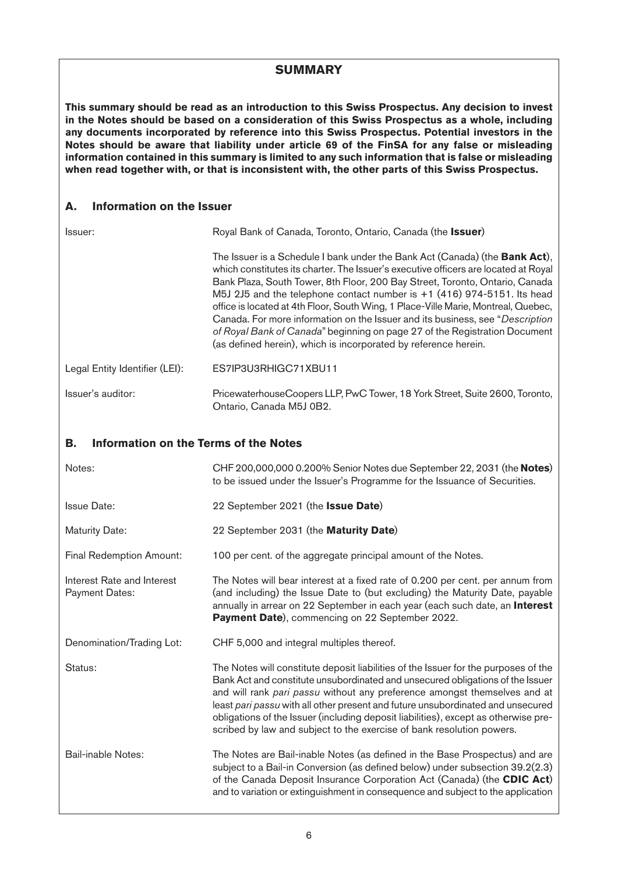# **SUMMARY**

<span id="page-5-0"></span>**This summary should be read as an introduction to this Swiss Prospectus. Any decision to invest in the Notes should be based on a consideration of this Swiss Prospectus as a whole, including any documents incorporated by reference into this Swiss Prospectus. Potential investors in the Notes should be aware that liability under article 69 of the FinSA for any false or misleading information contained in this summary is limited to any such information that is false or misleading when read together with, or that is inconsistent with, the other parts of this Swiss Prospectus.**

# **A. Information on the Issuer**

| Issuer:                        | Royal Bank of Canada, Toronto, Ontario, Canada (the Issuer)                                                                                                                                                                                                                                                                                                                                                                                                                                                                                                                                                                                                      |  |  |
|--------------------------------|------------------------------------------------------------------------------------------------------------------------------------------------------------------------------------------------------------------------------------------------------------------------------------------------------------------------------------------------------------------------------------------------------------------------------------------------------------------------------------------------------------------------------------------------------------------------------------------------------------------------------------------------------------------|--|--|
|                                | The Issuer is a Schedule I bank under the Bank Act (Canada) (the <b>Bank Act</b> ),<br>which constitutes its charter. The Issuer's executive officers are located at Royal<br>Bank Plaza, South Tower, 8th Floor, 200 Bay Street, Toronto, Ontario, Canada<br>M5J 2J5 and the telephone contact number is $+1$ (416) 974-5151. Its head<br>office is located at 4th Floor, South Wing, 1 Place-Ville Marie, Montreal, Quebec,<br>Canada. For more information on the Issuer and its business, see "Description"<br>of Royal Bank of Canada" beginning on page 27 of the Registration Document<br>(as defined herein), which is incorporated by reference herein. |  |  |
| Legal Entity Identifier (LEI): | ES7IP3U3RHIGC71XBU11                                                                                                                                                                                                                                                                                                                                                                                                                                                                                                                                                                                                                                             |  |  |
| Issuer's auditor:              | PricewaterhouseCoopers LLP, PwC Tower, 18 York Street, Suite 2600, Toronto,<br>Ontario, Canada M5J 0B2.                                                                                                                                                                                                                                                                                                                                                                                                                                                                                                                                                          |  |  |

# **B. Information on the Terms of the Notes**

| Notes:                                              | CHF 200,000,000 0.200% Senior Notes due September 22, 2031 (the Notes)<br>to be issued under the Issuer's Programme for the Issuance of Securities.                                                                                                                                                                                                                                                                                                                                                   |
|-----------------------------------------------------|-------------------------------------------------------------------------------------------------------------------------------------------------------------------------------------------------------------------------------------------------------------------------------------------------------------------------------------------------------------------------------------------------------------------------------------------------------------------------------------------------------|
| <b>Issue Date:</b>                                  | 22 September 2021 (the Issue Date)                                                                                                                                                                                                                                                                                                                                                                                                                                                                    |
| <b>Maturity Date:</b>                               | 22 September 2031 (the <b>Maturity Date)</b>                                                                                                                                                                                                                                                                                                                                                                                                                                                          |
| Final Redemption Amount:                            | 100 per cent. of the aggregate principal amount of the Notes.                                                                                                                                                                                                                                                                                                                                                                                                                                         |
| Interest Rate and Interest<br><b>Payment Dates:</b> | The Notes will bear interest at a fixed rate of 0.200 per cent. per annum from<br>(and including) the Issue Date to (but excluding) the Maturity Date, payable<br>annually in arrear on 22 September in each year (each such date, an Interest<br>Payment Date), commencing on 22 September 2022.                                                                                                                                                                                                     |
| Denomination/Trading Lot:                           | CHF 5,000 and integral multiples thereof.                                                                                                                                                                                                                                                                                                                                                                                                                                                             |
| Status:                                             | The Notes will constitute deposit liabilities of the Issuer for the purposes of the<br>Bank Act and constitute unsubordinated and unsecured obligations of the Issuer<br>and will rank pari passu without any preference amongst themselves and at<br>least pari passu with all other present and future unsubordinated and unsecured<br>obligations of the Issuer (including deposit liabilities), except as otherwise pre-<br>scribed by law and subject to the exercise of bank resolution powers. |
| <b>Bail-inable Notes:</b>                           | The Notes are Bail-inable Notes (as defined in the Base Prospectus) and are<br>subject to a Bail-in Conversion (as defined below) under subsection 39.2(2.3)<br>of the Canada Deposit Insurance Corporation Act (Canada) (the CDIC Act)<br>and to variation or extinguishment in consequence and subject to the application                                                                                                                                                                           |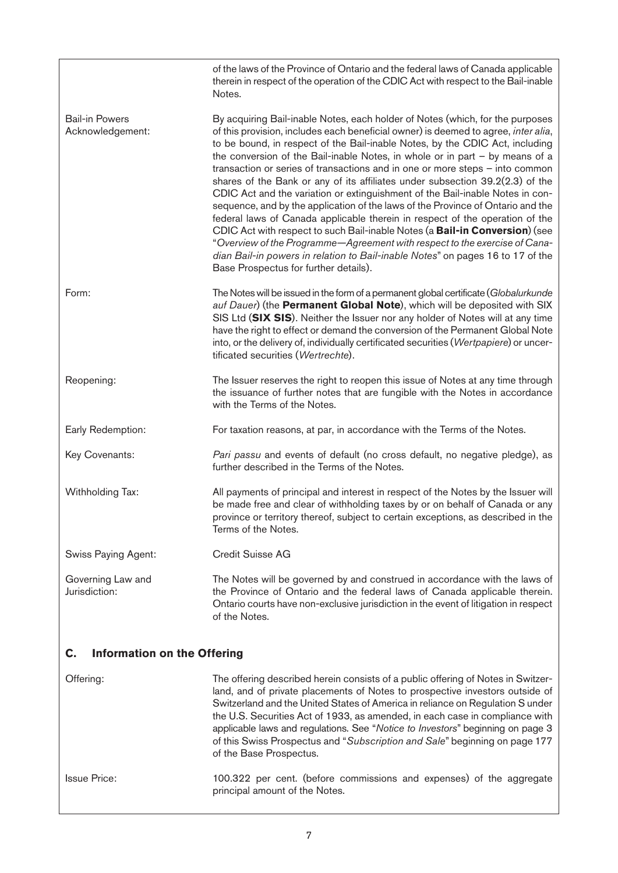<span id="page-6-0"></span>

|                                           | of the laws of the Province of Ontario and the federal laws of Canada applicable<br>therein in respect of the operation of the CDIC Act with respect to the Bail-inable<br>Notes.                                                                                                                                                                                                                                                                                                                                                                                                                                                                                                                                                                                                                                                                                                                                                                                                                                                                  |  |
|-------------------------------------------|----------------------------------------------------------------------------------------------------------------------------------------------------------------------------------------------------------------------------------------------------------------------------------------------------------------------------------------------------------------------------------------------------------------------------------------------------------------------------------------------------------------------------------------------------------------------------------------------------------------------------------------------------------------------------------------------------------------------------------------------------------------------------------------------------------------------------------------------------------------------------------------------------------------------------------------------------------------------------------------------------------------------------------------------------|--|
| <b>Bail-in Powers</b><br>Acknowledgement: | By acquiring Bail-inable Notes, each holder of Notes (which, for the purposes<br>of this provision, includes each beneficial owner) is deemed to agree, inter alia,<br>to be bound, in respect of the Bail-inable Notes, by the CDIC Act, including<br>the conversion of the Bail-inable Notes, in whole or in part $-$ by means of a<br>transaction or series of transactions and in one or more steps - into common<br>shares of the Bank or any of its affiliates under subsection 39.2(2.3) of the<br>CDIC Act and the variation or extinguishment of the Bail-inable Notes in con-<br>sequence, and by the application of the laws of the Province of Ontario and the<br>federal laws of Canada applicable therein in respect of the operation of the<br>CDIC Act with respect to such Bail-inable Notes (a Bail-in Conversion) (see<br>"Overview of the Programme-Agreement with respect to the exercise of Cana-<br>dian Bail-in powers in relation to Bail-inable Notes" on pages 16 to 17 of the<br>Base Prospectus for further details). |  |
| Form:                                     | The Notes will be issued in the form of a permanent global certificate (Globalurkunde<br>auf Dauer) (the Permanent Global Note), which will be deposited with SIX<br>SIS Ltd (SIX SIS). Neither the Issuer nor any holder of Notes will at any time<br>have the right to effect or demand the conversion of the Permanent Global Note<br>into, or the delivery of, individually certificated securities (Wertpapiere) or uncer-<br>tificated securities (Wertrechte).                                                                                                                                                                                                                                                                                                                                                                                                                                                                                                                                                                              |  |
| Reopening:                                | The Issuer reserves the right to reopen this issue of Notes at any time through<br>the issuance of further notes that are fungible with the Notes in accordance<br>with the Terms of the Notes.                                                                                                                                                                                                                                                                                                                                                                                                                                                                                                                                                                                                                                                                                                                                                                                                                                                    |  |
| Early Redemption:                         | For taxation reasons, at par, in accordance with the Terms of the Notes.                                                                                                                                                                                                                                                                                                                                                                                                                                                                                                                                                                                                                                                                                                                                                                                                                                                                                                                                                                           |  |
| Key Covenants:                            | Pari passu and events of default (no cross default, no negative pledge), as<br>further described in the Terms of the Notes.                                                                                                                                                                                                                                                                                                                                                                                                                                                                                                                                                                                                                                                                                                                                                                                                                                                                                                                        |  |
| Withholding Tax:                          | All payments of principal and interest in respect of the Notes by the Issuer will<br>be made free and clear of withholding taxes by or on behalf of Canada or any<br>province or territory thereof, subject to certain exceptions, as described in the<br>Terms of the Notes.                                                                                                                                                                                                                                                                                                                                                                                                                                                                                                                                                                                                                                                                                                                                                                      |  |
| Swiss Paying Agent:                       | Credit Suisse AG                                                                                                                                                                                                                                                                                                                                                                                                                                                                                                                                                                                                                                                                                                                                                                                                                                                                                                                                                                                                                                   |  |
| Governing Law and<br>Jurisdiction:        | The Notes will be governed by and construed in accordance with the laws of<br>the Province of Ontario and the federal laws of Canada applicable therein.<br>Ontario courts have non-exclusive jurisdiction in the event of litigation in respect<br>of the Notes.                                                                                                                                                                                                                                                                                                                                                                                                                                                                                                                                                                                                                                                                                                                                                                                  |  |
| <b>Information on the Offering</b><br>C.  |                                                                                                                                                                                                                                                                                                                                                                                                                                                                                                                                                                                                                                                                                                                                                                                                                                                                                                                                                                                                                                                    |  |
| Offering:                                 | The offering described herein consists of a public offering of Notes in Switzer-<br>land, and of private placements of Notes to prospective investors outside of<br>Switzerland and the United States of America in reliance on Regulation S under<br>the U.S. Securities Act of 1933, as amended, in each case in compliance with<br>applicable laws and regulations. See "Notice to Investors" beginning on page 3<br>of this Swiss Prospectus and "Subscription and Sale" beginning on page 177<br>of the Base Prospectus.                                                                                                                                                                                                                                                                                                                                                                                                                                                                                                                      |  |
| <b>Issue Price:</b>                       | 100.322 per cent. (before commissions and expenses) of the aggregate<br>principal amount of the Notes.                                                                                                                                                                                                                                                                                                                                                                                                                                                                                                                                                                                                                                                                                                                                                                                                                                                                                                                                             |  |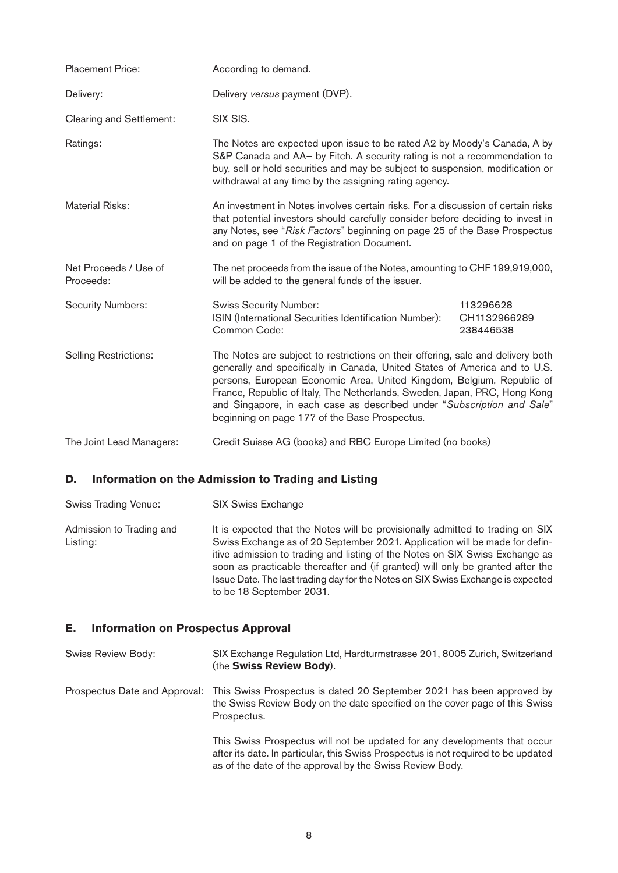<span id="page-7-0"></span>

| <b>Placement Price:</b>                         | According to demand.                                                                                                                                                                                                                                                                                                                                                                                                                            |                                        |  |
|-------------------------------------------------|-------------------------------------------------------------------------------------------------------------------------------------------------------------------------------------------------------------------------------------------------------------------------------------------------------------------------------------------------------------------------------------------------------------------------------------------------|----------------------------------------|--|
| Delivery:                                       | Delivery versus payment (DVP).                                                                                                                                                                                                                                                                                                                                                                                                                  |                                        |  |
| Clearing and Settlement:                        | SIX SIS.                                                                                                                                                                                                                                                                                                                                                                                                                                        |                                        |  |
| Ratings:                                        | The Notes are expected upon issue to be rated A2 by Moody's Canada, A by<br>S&P Canada and AA- by Fitch. A security rating is not a recommendation to<br>buy, sell or hold securities and may be subject to suspension, modification or<br>withdrawal at any time by the assigning rating agency.                                                                                                                                               |                                        |  |
| <b>Material Risks:</b>                          | An investment in Notes involves certain risks. For a discussion of certain risks<br>that potential investors should carefully consider before deciding to invest in<br>any Notes, see "Risk Factors" beginning on page 25 of the Base Prospectus<br>and on page 1 of the Registration Document.                                                                                                                                                 |                                        |  |
| Net Proceeds / Use of<br>Proceeds:              | The net proceeds from the issue of the Notes, amounting to CHF 199,919,000,<br>will be added to the general funds of the issuer.                                                                                                                                                                                                                                                                                                                |                                        |  |
| <b>Security Numbers:</b>                        | <b>Swiss Security Number:</b><br>ISIN (International Securities Identification Number):<br>Common Code:                                                                                                                                                                                                                                                                                                                                         | 113296628<br>CH1132966289<br>238446538 |  |
| <b>Selling Restrictions:</b>                    | The Notes are subject to restrictions on their offering, sale and delivery both<br>generally and specifically in Canada, United States of America and to U.S.<br>persons, European Economic Area, United Kingdom, Belgium, Republic of<br>France, Republic of Italy, The Netherlands, Sweden, Japan, PRC, Hong Kong<br>and Singapore, in each case as described under "Subscription and Sale"<br>beginning on page 177 of the Base Prospectus.  |                                        |  |
| The Joint Lead Managers:                        | Credit Suisse AG (books) and RBC Europe Limited (no books)                                                                                                                                                                                                                                                                                                                                                                                      |                                        |  |
| D.                                              | Information on the Admission to Trading and Listing                                                                                                                                                                                                                                                                                                                                                                                             |                                        |  |
| Swiss Trading Venue:                            | <b>SIX Swiss Exchange</b>                                                                                                                                                                                                                                                                                                                                                                                                                       |                                        |  |
| Admission to Trading and<br>Listing:            | It is expected that the Notes will be provisionally admitted to trading on SIX<br>Swiss Exchange as of 20 September 2021. Application will be made for defin-<br>itive admission to trading and listing of the Notes on SIX Swiss Exchange as<br>soon as practicable thereafter and (if granted) will only be granted after the<br>Issue Date. The last trading day for the Notes on SIX Swiss Exchange is expected<br>to be 18 September 2031. |                                        |  |
| Е.<br><b>Information on Prospectus Approval</b> |                                                                                                                                                                                                                                                                                                                                                                                                                                                 |                                        |  |
| Swiss Review Body:                              | SIX Exchange Regulation Ltd, Hardturmstrasse 201, 8005 Zurich, Switzerland<br>(the Swiss Review Body).                                                                                                                                                                                                                                                                                                                                          |                                        |  |
| Prospectus Date and Approval:                   | This Swiss Prospectus is dated 20 September 2021 has been approved by<br>the Swiss Review Body on the date specified on the cover page of this Swiss<br>Prospectus.                                                                                                                                                                                                                                                                             |                                        |  |
|                                                 | This Swiss Prospectus will not be updated for any developments that occur<br>after its date. In particular, this Swiss Prospectus is not required to be updated<br>as of the date of the approval by the Swiss Review Body.                                                                                                                                                                                                                     |                                        |  |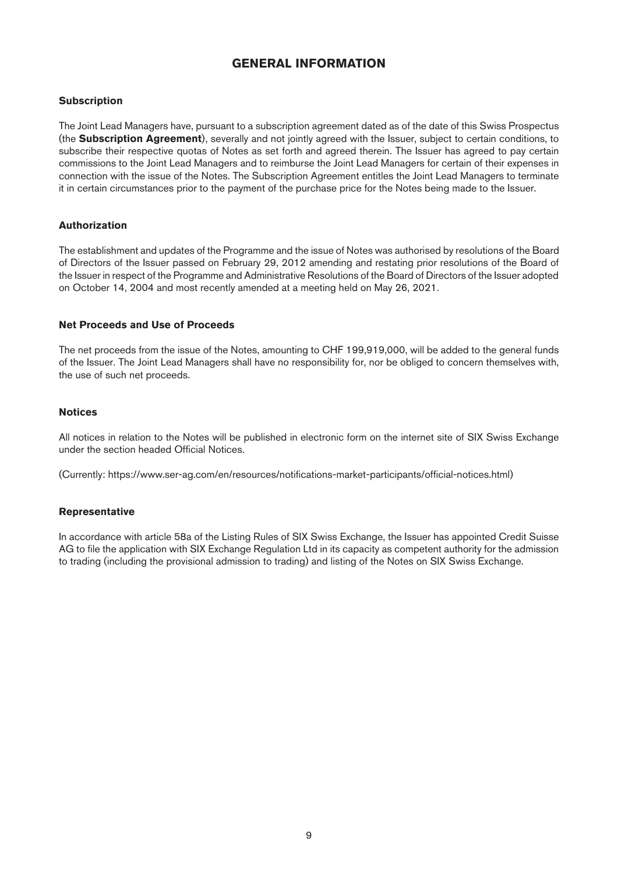# **GENERAL INFORMATION**

#### <span id="page-8-0"></span>**Subscription**

The Joint Lead Managers have, pursuant to a subscription agreement dated as of the date of this Swiss Prospectus (the **Subscription Agreement**), severally and not jointly agreed with the Issuer, subject to certain conditions, to subscribe their respective quotas of Notes as set forth and agreed therein. The Issuer has agreed to pay certain commissions to the Joint Lead Managers and to reimburse the Joint Lead Managers for certain of their expenses in connection with the issue of the Notes. The Subscription Agreement entitles the Joint Lead Managers to terminate it in certain circumstances prior to the payment of the purchase price for the Notes being made to the Issuer.

#### **Authorization**

The establishment and updates of the Programme and the issue of Notes was authorised by resolutions of the Board of Directors of the Issuer passed on February 29, 2012 amending and restating prior resolutions of the Board of the Issuer in respect of the Programme and Administrative Resolutions of the Board of Directors of the Issuer adopted on October 14, 2004 and most recently amended at a meeting held on May 26, 2021.

#### **Net Proceeds and Use of Proceeds**

The net proceeds from the issue of the Notes, amounting to CHF 199,919,000, will be added to the general funds of the Issuer. The Joint Lead Managers shall have no responsibility for, nor be obliged to concern themselves with, the use of such net proceeds.

#### **Notices**

All notices in relation to the Notes will be published in electronic form on the internet site of SIX Swiss Exchange under the section headed Official Notices.

(Currently: https://www.ser-ag.com/en/resources/notifications-market-participants/official-notices.html)

#### **Representative**

In accordance with article 58a of the Listing Rules of SIX Swiss Exchange, the Issuer has appointed Credit Suisse AG to file the application with SIX Exchange Regulation Ltd in its capacity as competent authority for the admission to trading (including the provisional admission to trading) and listing of the Notes on SIX Swiss Exchange.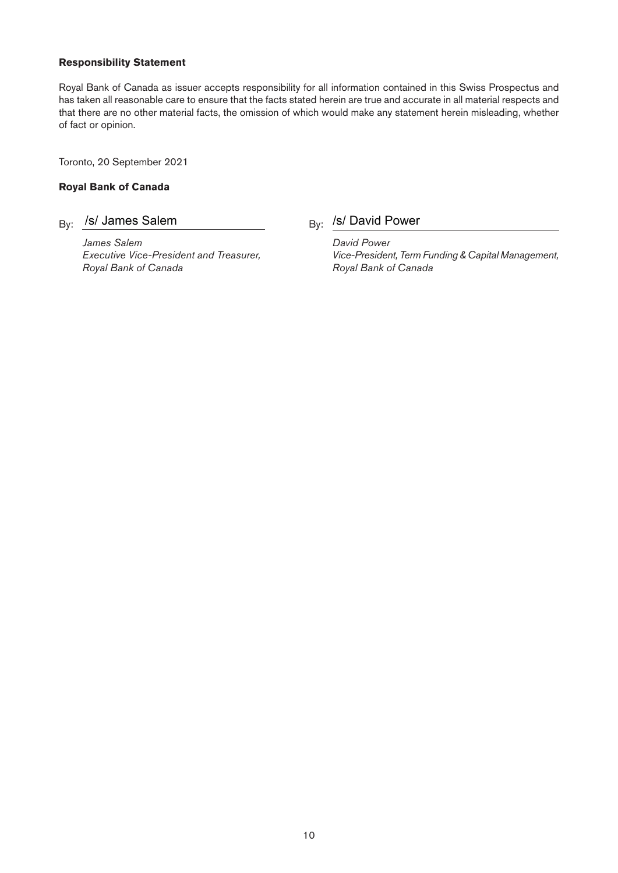#### **Responsibility Statement**

Royal Bank of Canada as issuer accepts responsibility for all information contained in this Swiss Prospectus and has taken all reasonable care to ensure that the facts stated herein are true and accurate in all material respects and that there are no other material facts, the omission of which would make any statement herein misleading, whether of fact or opinion.

Toronto, 20 September 2021

#### **Royal Bank of Canada**

# By: /s/ James Salem

*James Salem David Power Royal Bank of Canada Royal Bank of Canada*

# $B_y$ : /s/ David Power

*Executive Vice-President and Treasurer, Vice-President, Term Funding & Capital Management,*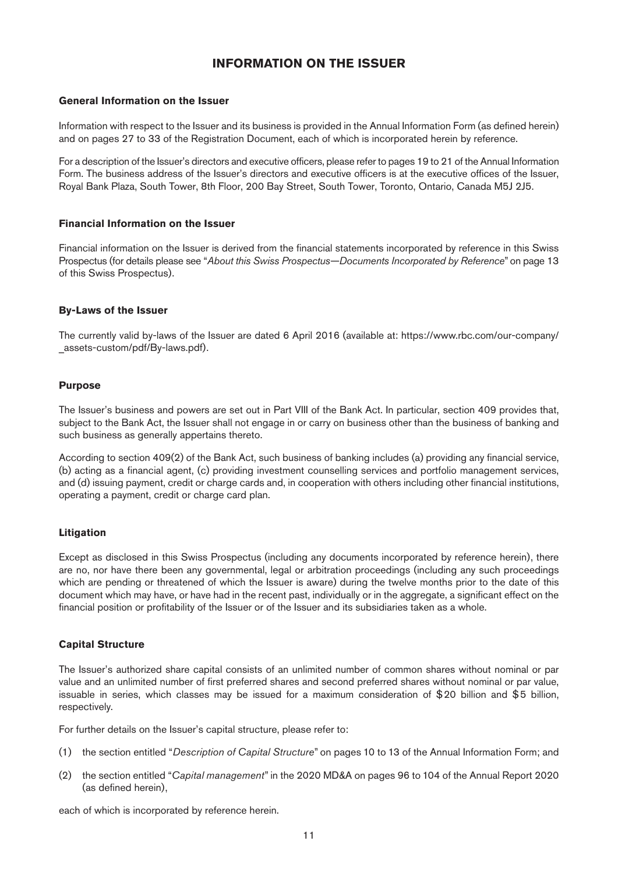# **INFORMATION ON THE ISSUER**

#### <span id="page-10-0"></span>**General Information on the Issuer**

Information with respect to the Issuer and its business is provided in the Annual Information Form (as defined herein) and on pages 27 to 33 of the Registration Document, each of which is incorporated herein by reference.

For a description of the Issuer's directors and executive officers, please refer to pages 19 to 21 of the Annual Information Form. The business address of the Issuer's directors and executive officers is at the executive offices of the Issuer, Royal Bank Plaza, South Tower, 8th Floor, 200 Bay Street, South Tower, Toronto, Ontario, Canada M5J 2J5.

#### **Financial Information on the Issuer**

Financial information on the Issuer is derived from the financial statements incorporated by reference in this Swiss Prospectus (for details please see "*About this Swiss Prospectus—Documents Incorporated by Reference*" on [page 13](#page-12-0) of this Swiss Prospectus).

#### **By-Laws of the Issuer**

The currently valid by-laws of the Issuer are dated 6 April 2016 (available at: https://www.rbc.com/our-company/ assets-custom/pdf/By-laws.pdf).

#### **Purpose**

The Issuer's business and powers are set out in Part VIII of the Bank Act. In particular, section 409 provides that, subject to the Bank Act, the Issuer shall not engage in or carry on business other than the business of banking and such business as generally appertains thereto.

According to section 409(2) of the Bank Act, such business of banking includes (a) providing any financial service, (b) acting as a financial agent, (c) providing investment counselling services and portfolio management services, and (d) issuing payment, credit or charge cards and, in cooperation with others including other financial institutions, operating a payment, credit or charge card plan.

#### **Litigation**

Except as disclosed in this Swiss Prospectus (including any documents incorporated by reference herein), there are no, nor have there been any governmental, legal or arbitration proceedings (including any such proceedings which are pending or threatened of which the Issuer is aware) during the twelve months prior to the date of this document which may have, or have had in the recent past, individually or in the aggregate, a significant effect on the financial position or profitability of the Issuer or of the Issuer and its subsidiaries taken as a whole.

#### **Capital Structure**

The Issuer's authorized share capital consists of an unlimited number of common shares without nominal or par value and an unlimited number of first preferred shares and second preferred shares without nominal or par value, issuable in series, which classes may be issued for a maximum consideration of \$20 billion and \$5 billion, respectively.

For further details on the Issuer's capital structure, please refer to:

- (1) the section entitled "*Description of Capital Structure*" on pages 10 to 13 of the Annual Information Form; and
- (2) the section entitled "*Capital management*" in the 2020 MD&A on pages 96 to 104 of the Annual Report 2020 (as defined herein),

each of which is incorporated by reference herein.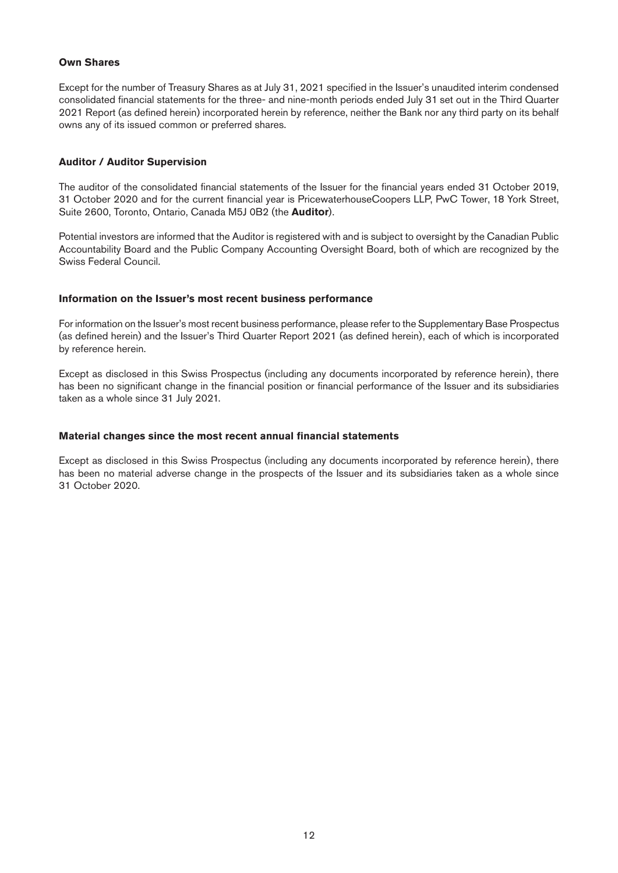#### **Own Shares**

Except for the number of Treasury Shares as at July 31, 2021 specified in the Issuer's unaudited interim condensed consolidated financial statements for the three- and nine-month periods ended July 31 set out in the Third Quarter 2021 Report (as defined herein) incorporated herein by reference, neither the Bank nor any third party on its behalf owns any of its issued common or preferred shares.

#### **Auditor / Auditor Supervision**

The auditor of the consolidated financial statements of the Issuer for the financial years ended 31 October 2019, 31 October 2020 and for the current financial year is PricewaterhouseCoopers LLP, PwC Tower, 18 York Street, Suite 2600, Toronto, Ontario, Canada M5J 0B2 (the **Auditor**).

Potential investors are informed that the Auditor is registered with and is subject to oversight by the Canadian Public Accountability Board and the Public Company Accounting Oversight Board, both of which are recognized by the Swiss Federal Council.

#### **Information on the Issuer's most recent business performance**

For information on the Issuer's most recent business performance, please refer to the Supplementary Base Prospectus (as defined herein) and the Issuer's Third Quarter Report 2021 (as defined herein), each of which is incorporated by reference herein.

Except as disclosed in this Swiss Prospectus (including any documents incorporated by reference herein), there has been no significant change in the financial position or financial performance of the Issuer and its subsidiaries taken as a whole since 31 July 2021.

#### **Material changes since the most recent annual financial statements**

Except as disclosed in this Swiss Prospectus (including any documents incorporated by reference herein), there has been no material adverse change in the prospects of the Issuer and its subsidiaries taken as a whole since 31 October 2020.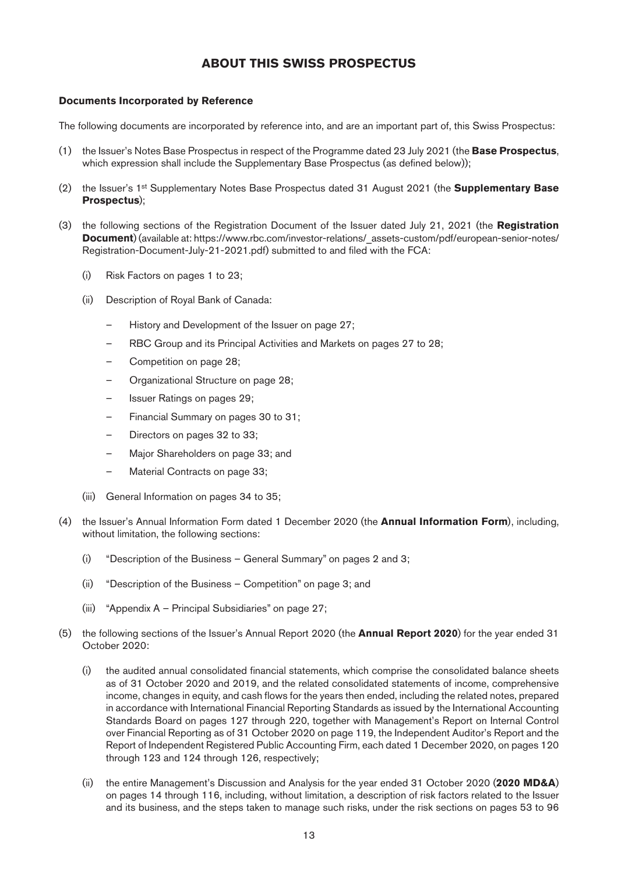# **ABOUT THIS SWISS PROSPECTUS**

#### <span id="page-12-1"></span><span id="page-12-0"></span>**Documents Incorporated by Reference**

The following documents are incorporated by reference into, and are an important part of, this Swiss Prospectus:

- (1) the Issuer's Notes Base Prospectus in respect of the Programme dated 23 July 2021 (the **Base Prospectus**, which expression shall include the Supplementary Base Prospectus (as defined below));
- (2) the Issuer's 1st Supplementary Notes Base Prospectus dated 31 August 2021 (the **Supplementary Base Prospectus**);
- (3) the following sections of the Registration Document of the Issuer dated July 21, 2021 (the **Registration Document**) (available at: https://www.rbc.com/investor-relations/\_assets-custom/pdf/european-senior-notes/ Registration-Document-July-21-2021.pdf) submitted to and filed with the FCA:
	- (i) Risk Factors on pages 1 to 23;
	- (ii) Description of Royal Bank of Canada:
		- History and Development of the Issuer on page 27;
		- RBC Group and its Principal Activities and Markets on pages 27 to 28;
		- Competition on page 28;
		- Organizational Structure on page 28;
		- Issuer Ratings on pages 29;
		- Financial Summary on pages 30 to 31;
		- Directors on pages 32 to 33;
		- Major Shareholders on page 33; and
		- Material Contracts on page 33;
	- (iii) General Information on pages 34 to 35;
- (4) the Issuer's Annual Information Form dated 1 December 2020 (the **Annual Information Form**), including, without limitation, the following sections:
	- (i) "Description of the Business General Summary" on pages 2 and 3;
	- (ii) "Description of the Business Competition" on page 3; and
	- (iii) "Appendix A Principal Subsidiaries" on page 27;
- (5) the following sections of the Issuer's Annual Report 2020 (the **Annual Report 2020**) for the year ended 31 October 2020:
	- (i) the audited annual consolidated financial statements, which comprise the consolidated balance sheets as of 31 October 2020 and 2019, and the related consolidated statements of income, comprehensive income, changes in equity, and cash flows for the years then ended, including the related notes, prepared in accordance with International Financial Reporting Standards as issued by the International Accounting Standards Board on pages 127 through 220, together with Management's Report on Internal Control over Financial Reporting as of 31 October 2020 on page 119, the Independent Auditor's Report and the Report of Independent Registered Public Accounting Firm, each dated 1 December 2020, on pages 120 through 123 and 124 through 126, respectively;
	- (ii) the entire Management's Discussion and Analysis for the year ended 31 October 2020 (**2020 MD&A**) on pages 14 through 116, including, without limitation, a description of risk factors related to the Issuer and its business, and the steps taken to manage such risks, under the risk sections on pages 53 to 96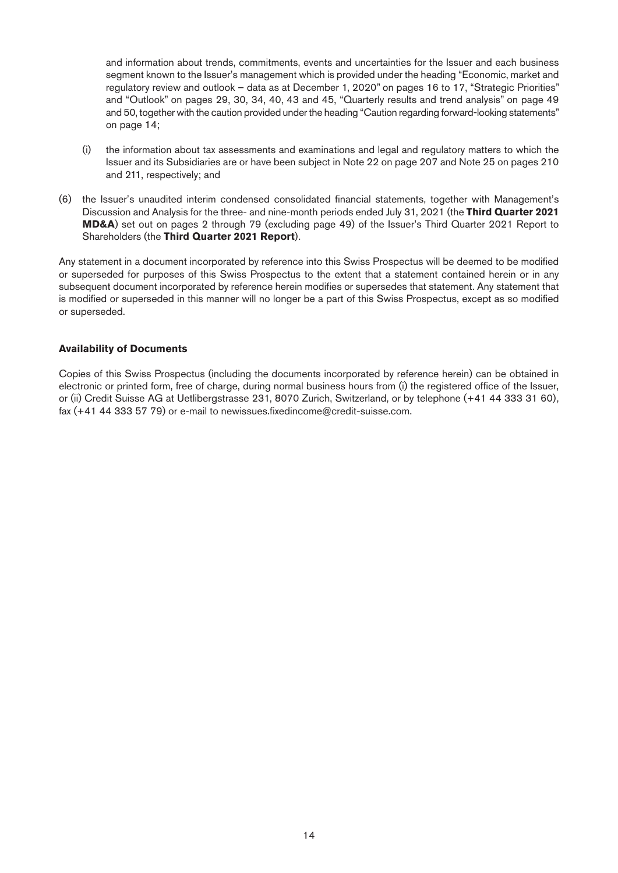and information about trends, commitments, events and uncertainties for the Issuer and each business segment known to the Issuer's management which is provided under the heading "Economic, market and regulatory review and outlook – data as at December 1, 2020" on pages 16 to 17, "Strategic Priorities" and "Outlook" on pages 29, 30, 34, 40, 43 and 45, "Quarterly results and trend analysis" on page 49 and 50, together with the caution provided under the heading "Caution regarding forward-looking statements" on page 14;

- (i) the information about tax assessments and examinations and legal and regulatory matters to which the Issuer and its Subsidiaries are or have been subject in Note 22 on page 207 and Note 25 on pages 210 and 211, respectively; and
- (6) the Issuer's unaudited interim condensed consolidated financial statements, together with Management's Discussion and Analysis for the three- and nine-month periods ended July 31, 2021 (the **Third Quarter 2021 MD&A**) set out on pages 2 through 79 (excluding page 49) of the Issuer's Third Quarter 2021 Report to Shareholders (the **Third Quarter 2021 Report**).

Any statement in a document incorporated by reference into this Swiss Prospectus will be deemed to be modified or superseded for purposes of this Swiss Prospectus to the extent that a statement contained herein or in any subsequent document incorporated by reference herein modifies or supersedes that statement. Any statement that is modified or superseded in this manner will no longer be a part of this Swiss Prospectus, except as so modified or superseded.

#### **Availability of Documents**

Copies of this Swiss Prospectus (including the documents incorporated by reference herein) can be obtained in electronic or printed form, free of charge, during normal business hours from (i) the registered office of the Issuer, or (ii) Credit Suisse AG at Uetlibergstrasse 231, 8070 Zurich, Switzerland, or by telephone (+41 44 333 31 60), fax (+41 44 333 57 79) or e-mail to [newissues.fixedincome@credit-suisse.com.](mailto:newissues.fixedincome%40credit-suisse.com?subject=)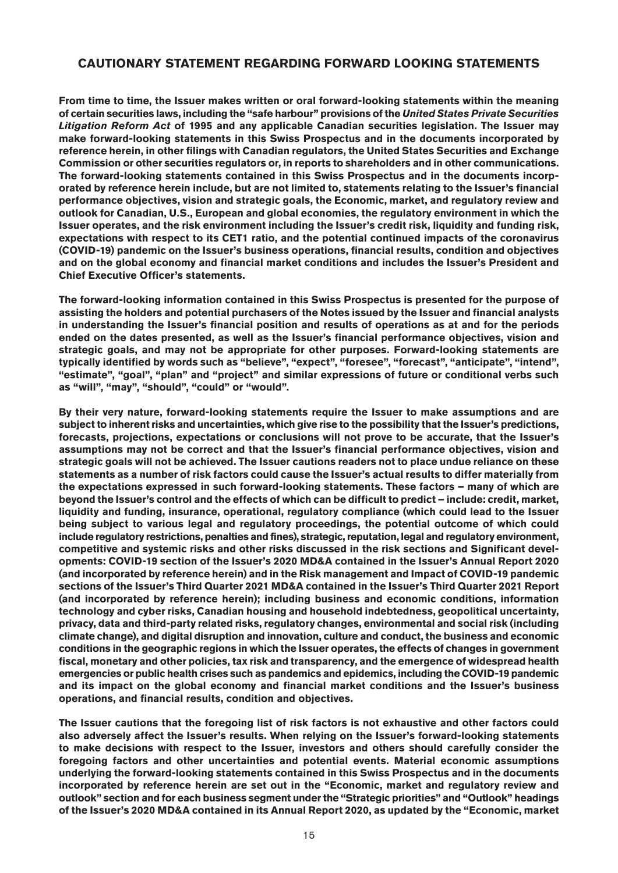# <span id="page-14-0"></span>**CAUTIONARY STATEMENT REGARDING FORWARD LOOKING STATEMENTS**

**From time to time, the Issuer makes written or oral forward-looking statements within the meaning of certain securities laws, including the "safe harbour" provisions of the** *United States Private Securities Litigation Reform Act* **of 1995 and any applicable Canadian securities legislation. The Issuer may make forward-looking statements in this Swiss Prospectus and in the documents incorporated by reference herein, in other filings with Canadian regulators, the United States Securities and Exchange Commission or other securities regulators or, in reports to shareholders and in other communications. The forward-looking statements contained in this Swiss Prospectus and in the documents incorporated by reference herein include, but are not limited to, statements relating to the Issuer's financial performance objectives, vision and strategic goals, the Economic, market, and regulatory review and outlook for Canadian, U.S., European and global economies, the regulatory environment in which the Issuer operates, and the risk environment including the Issuer's credit risk, liquidity and funding risk, expectations with respect to its CET1 ratio, and the potential continued impacts of the coronavirus (COVID-19) pandemic on the Issuer's business operations, financial results, condition and objectives and on the global economy and financial market conditions and includes the Issuer's President and Chief Executive Officer's statements.** 

**The forward-looking information contained in this Swiss Prospectus is presented for the purpose of assisting the holders and potential purchasers of the Notes issued by the Issuer and financial analysts in understanding the Issuer's financial position and results of operations as at and for the periods ended on the dates presented, as well as the Issuer's financial performance objectives, vision and strategic goals, and may not be appropriate for other purposes. Forward-looking statements are typically identified by words such as "believe", "expect", "foresee", "forecast", "anticipate", "intend", "estimate", "goal", "plan" and "project" and similar expressions of future or conditional verbs such as "will", "may", "should", "could" or "would".**

**By their very nature, forward-looking statements require the Issuer to make assumptions and are subject to inherent risks and uncertainties, which give rise to the possibility that the Issuer's predictions, forecasts, projections, expectations or conclusions will not prove to be accurate, that the Issuer's assumptions may not be correct and that the Issuer's financial performance objectives, vision and strategic goals will not be achieved. The Issuer cautions readers not to place undue reliance on these statements as a number of risk factors could cause the Issuer's actual results to differ materially from the expectations expressed in such forward-looking statements. These factors – many of which are beyond the Issuer's control and the effects of which can be difficult to predict – include: credit, market, liquidity and funding, insurance, operational, regulatory compliance (which could lead to the Issuer being subject to various legal and regulatory proceedings, the potential outcome of which could include regulatory restrictions, penalties and fines), strategic, reputation, legal and regulatory environment, competitive and systemic risks and other risks discussed in the risk sections and Significant developments: COVID-19 section of the Issuer's 2020 MD&A contained in the Issuer's Annual Report 2020 (and incorporated by reference herein) and in the Risk management and Impact of COVID-19 pandemic sections of the Issuer's Third Quarter 2021 MD&A contained in the Issuer's Third Quarter 2021 Report (and incorporated by reference herein); including business and economic conditions, information technology and cyber risks, Canadian housing and household indebtedness, geopolitical uncertainty, privacy, data and third-party related risks, regulatory changes, environmental and social risk (including climate change), and digital disruption and innovation, culture and conduct, the business and economic conditions in the geographic regions in which the Issuer operates, the effects of changes in government fiscal, monetary and other policies, tax risk and transparency, and the emergence of widespread health emergencies or public health crises such as pandemics and epidemics, including the COVID-19 pandemic and its impact on the global economy and financial market conditions and the Issuer's business operations, and financial results, condition and objectives.** 

**The Issuer cautions that the foregoing list of risk factors is not exhaustive and other factors could also adversely affect the Issuer's results. When relying on the Issuer's forward-looking statements to make decisions with respect to the Issuer, investors and others should carefully consider the foregoing factors and other uncertainties and potential events. Material economic assumptions underlying the forward-looking statements contained in this Swiss Prospectus and in the documents incorporated by reference herein are set out in the "Economic, market and regulatory review and outlook" section and for each business segment under the "Strategic priorities" and "Outlook" headings of the Issuer's 2020 MD&A contained in its Annual Report 2020, as updated by the "Economic, market**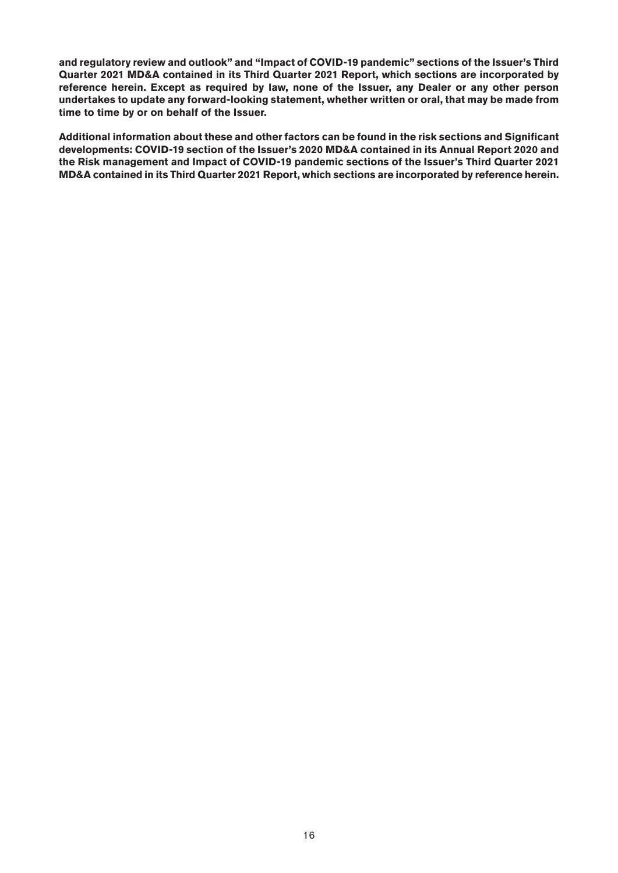**and regulatory review and outlook" and "Impact of COVID-19 pandemic" sections of the Issuer's Third Quarter 2021 MD&A contained in its Third Quarter 2021 Report, which sections are incorporated by reference herein. Except as required by law, none of the Issuer, any Dealer or any other person undertakes to update any forward-looking statement, whether written or oral, that may be made from time to time by or on behalf of the Issuer.**

**Additional information about these and other factors can be found in the risk sections and Significant developments: COVID-19 section of the Issuer's 2020 MD&A contained in its Annual Report 2020 and the Risk management and Impact of COVID-19 pandemic sections of the Issuer's Third Quarter 2021 MD&A contained in its Third Quarter 2021 Report, which sections are incorporated by reference herein.**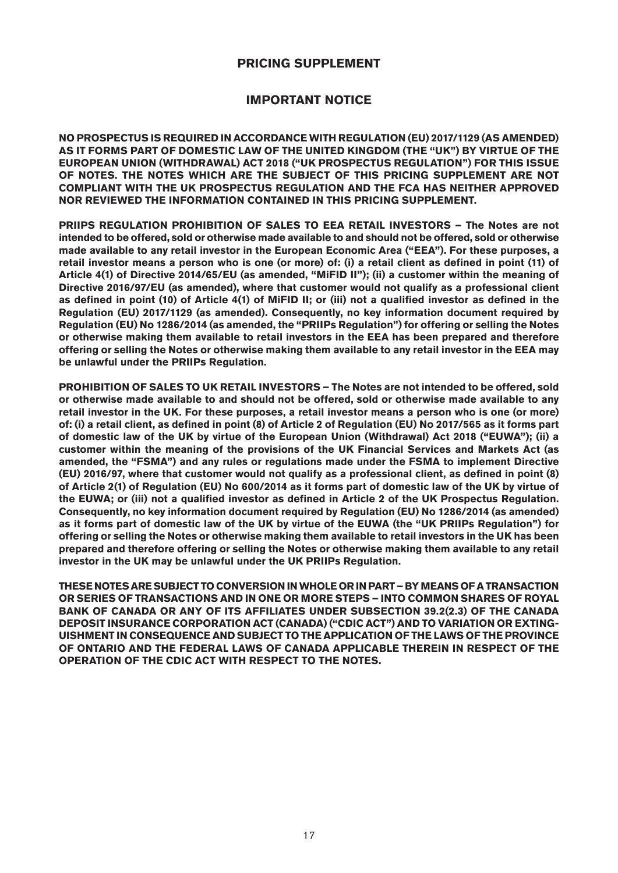# **PRICING SUPPLEMENT**

# <span id="page-16-0"></span>**IMPORTANT NOTICE**

<span id="page-16-1"></span>**NO PROSPECTUS IS REQUIRED IN ACCORDANCE WITH REGULATION (EU) 2017/1129 (AS AMENDED) AS IT FORMS PART OF DOMESTIC LAW OF THE UNITED KINGDOM (THE "UK") BY VIRTUE OF THE EUROPEAN UNION (WITHDRAWAL) ACT 2018 ("UK PROSPECTUS REGULATION") FOR THIS ISSUE OF NOTES. THE NOTES WHICH ARE THE SUBJECT OF THIS PRICING SUPPLEMENT ARE NOT COMPLIANT WITH THE UK PROSPECTUS REGULATION AND THE FCA HAS NEITHER APPROVED NOR REVIEWED THE INFORMATION CONTAINED IN THIS PRICING SUPPLEMENT.**

**PRIIPS REGULATION PROHIBITION OF SALES TO EEA RETAIL INVESTORS – The Notes are not intended to be offered, sold or otherwise made available to and should not be offered, sold or otherwise made available to any retail investor in the European Economic Area ("EEA"). For these purposes, a retail investor means a person who is one (or more) of: (i) a retail client as defined in point (11) of Article 4(1) of Directive 2014/65/EU (as amended, "MiFID II"); (ii) a customer within the meaning of Directive 2016/97/EU (as amended), where that customer would not qualify as a professional client as defined in point (10) of Article 4(1) of MiFID II; or (iii) not a qualified investor as defined in the Regulation (EU) 2017/1129 (as amended). Consequently, no key information document required by Regulation (EU) No 1286/2014 (as amended, the "PRIIPs Regulation") for offering or selling the Notes or otherwise making them available to retail investors in the EEA has been prepared and therefore offering or selling the Notes or otherwise making them available to any retail investor in the EEA may be unlawful under the PRIIPs Regulation.**

**PROHIBITION OF SALES TO UK RETAIL INVESTORS – The Notes are not intended to be offered, sold or otherwise made available to and should not be offered, sold or otherwise made available to any retail investor in the UK. For these purposes, a retail investor means a person who is one (or more) of: (i) a retail client, as defined in point (8) of Article 2 of Regulation (EU) No 2017/565 as it forms part of domestic law of the UK by virtue of the European Union (Withdrawal) Act 2018 ("EUWA"); (ii) a customer within the meaning of the provisions of the UK Financial Services and Markets Act (as amended, the "FSMA") and any rules or regulations made under the FSMA to implement Directive (EU) 2016/97, where that customer would not qualify as a professional client, as defined in point (8) of Article 2(1) of Regulation (EU) No 600/2014 as it forms part of domestic law of the UK by virtue of the EUWA; or (iii) not a qualified investor as defined in Article 2 of the UK Prospectus Regulation. Consequently, no key information document required by Regulation (EU) No 1286/2014 (as amended) as it forms part of domestic law of the UK by virtue of the EUWA (the "UK PRIIPs Regulation") for offering or selling the Notes or otherwise making them available to retail investors in the UK has been prepared and therefore offering or selling the Notes or otherwise making them available to any retail investor in the UK may be unlawful under the UK PRIIPs Regulation.** 

**THESE NOTES ARE SUBJECT TO CONVERSION IN WHOLE OR IN PART – BY MEANS OF A TRANSACTION OR SERIES OF TRANSACTIONS AND IN ONE OR MORE STEPS – INTO COMMON SHARES OF ROYAL BANK OF CANADA OR ANY OF ITS AFFILIATES UNDER SUBSECTION 39.2(2.3) OF THE CANADA DEPOSIT INSURANCE CORPORATION ACT (CANADA) ("CDIC ACT") AND TO VARIATION OR EXTING-UISHMENT IN CONSEQUENCE AND SUBJECT TO THE APPLICATION OF THE LAWS OF THE PROVINCE OF ONTARIO AND THE FEDERAL LAWS OF CANADA APPLICABLE THEREIN IN RESPECT OF THE OPERATION OF THE CDIC ACT WITH RESPECT TO THE NOTES.**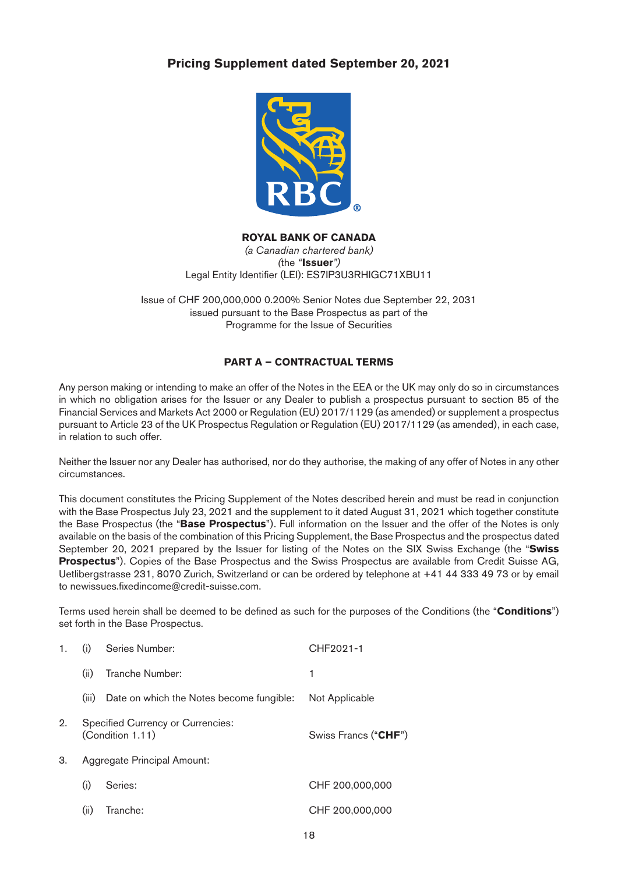

#### **ROYAL BANK OF CANADA**

*(a Canadian chartered bank) (*the *"***Issuer***")* Legal Entity Identifier (LEI): ES7IP3U3RHIGC71XBU11

Issue of CHF 200,000,000 0.200% Senior Notes due September 22, 2031 issued pursuant to the Base Prospectus as part of the Programme for the Issue of Securities

# **PART A – CONTRACTUAL TERMS**

Any person making or intending to make an offer of the Notes in the EEA or the UK may only do so in circumstances in which no obligation arises for the Issuer or any Dealer to publish a prospectus pursuant to section 85 of the Financial Services and Markets Act 2000 or Regulation (EU) 2017/1129 (as amended) or supplement a prospectus pursuant to Article 23 of the UK Prospectus Regulation or Regulation (EU) 2017/1129 (as amended), in each case, in relation to such offer.

Neither the Issuer nor any Dealer has authorised, nor do they authorise, the making of any offer of Notes in any other circumstances.

This document constitutes the Pricing Supplement of the Notes described herein and must be read in conjunction with the Base Prospectus July 23, 2021 and the supplement to it dated August 31, 2021 which together constitute the Base Prospectus (the "**Base Prospectus**"). Full information on the Issuer and the offer of the Notes is only available on the basis of the combination of this Pricing Supplement, the Base Prospectus and the prospectus dated September 20, 2021 prepared by the Issuer for listing of the Notes on the SIX Swiss Exchange (the "**Swiss Prospectus**"). Copies of the Base Prospectus and the Swiss Prospectus are available from Credit Suisse AG, Uetlibergstrasse 231, 8070 Zurich, Switzerland or can be ordered by telephone at +41 44 333 49 73 or by email to [newissues.fixedincome@credit-suisse.com](mailto:newissues.fixedincome%40credit-suisse.com?subject=).

Terms used herein shall be deemed to be defined as such for the purposes of the Conditions (the "**Conditions**") set forth in the Base Prospectus.

| 1. | (i)   | Series Number:                                        | CHF2021-1                     |
|----|-------|-------------------------------------------------------|-------------------------------|
|    | (ii)  | Tranche Number:                                       | 1                             |
|    | (iii) | Date on which the Notes become fungible:              | Not Applicable                |
| 2. |       | Specified Currency or Currencies:<br>(Condition 1.11) | Swiss Francs (" <b>CHF</b> ") |
| 3. |       | Aggregate Principal Amount:                           |                               |
|    | (i)   | Series:                                               | CHF 200,000,000               |
|    | (ii)  | Tranche:                                              | CHF 200,000,000               |
|    |       |                                                       |                               |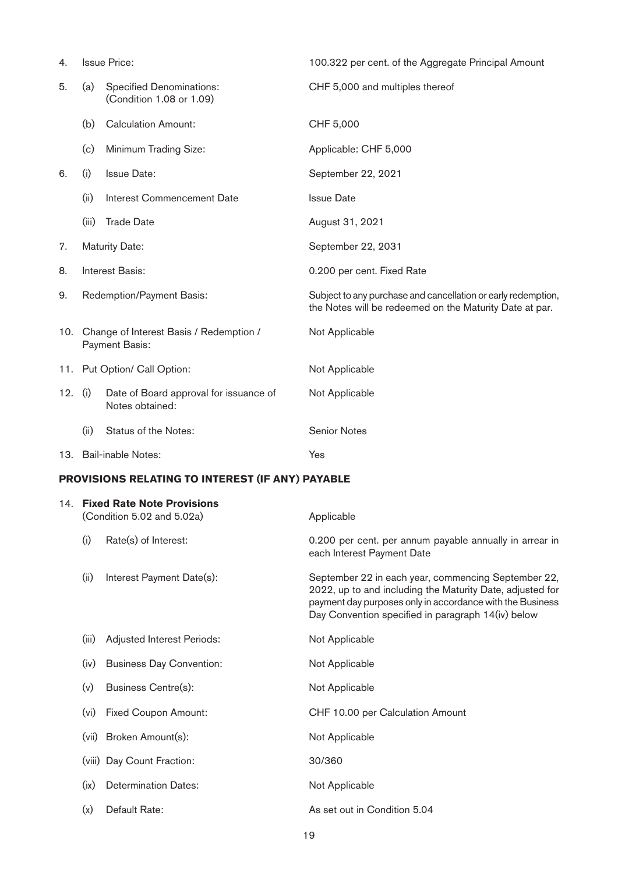| 4.        |                                                               | <b>Issue Price:</b>                                          | 100.322 per cent. of the Aggregate Principal Amount                                                                                                                                                                                 |  |
|-----------|---------------------------------------------------------------|--------------------------------------------------------------|-------------------------------------------------------------------------------------------------------------------------------------------------------------------------------------------------------------------------------------|--|
| 5.        | (a)                                                           | <b>Specified Denominations:</b><br>(Condition 1.08 or 1.09)  | CHF 5,000 and multiples thereof                                                                                                                                                                                                     |  |
|           | (b)                                                           | <b>Calculation Amount:</b>                                   | CHF 5,000                                                                                                                                                                                                                           |  |
|           | (c)                                                           | Minimum Trading Size:                                        | Applicable: CHF 5,000                                                                                                                                                                                                               |  |
| 6.        | (i)                                                           | <b>Issue Date:</b>                                           | September 22, 2021                                                                                                                                                                                                                  |  |
|           | (ii)                                                          | <b>Interest Commencement Date</b>                            | <b>Issue Date</b>                                                                                                                                                                                                                   |  |
|           | (iii)                                                         | <b>Trade Date</b>                                            | August 31, 2021                                                                                                                                                                                                                     |  |
| 7.        |                                                               | <b>Maturity Date:</b>                                        | September 22, 2031                                                                                                                                                                                                                  |  |
| 8.        |                                                               | Interest Basis:                                              | 0.200 per cent. Fixed Rate                                                                                                                                                                                                          |  |
| 9.        |                                                               | Redemption/Payment Basis:                                    | Subject to any purchase and cancellation or early redemption,<br>the Notes will be redeemed on the Maturity Date at par.                                                                                                            |  |
|           | 10. Change of Interest Basis / Redemption /<br>Payment Basis: |                                                              | Not Applicable                                                                                                                                                                                                                      |  |
|           |                                                               | 11. Put Option/ Call Option:                                 | Not Applicable                                                                                                                                                                                                                      |  |
| 12. $(i)$ |                                                               | Date of Board approval for issuance of<br>Notes obtained:    | Not Applicable                                                                                                                                                                                                                      |  |
|           | (ii)                                                          | Status of the Notes:                                         | <b>Senior Notes</b>                                                                                                                                                                                                                 |  |
|           |                                                               | 13. Bail-inable Notes:                                       | Yes                                                                                                                                                                                                                                 |  |
|           | PROVISIONS RELATING TO INTEREST (IF ANY) PAYABLE              |                                                              |                                                                                                                                                                                                                                     |  |
|           |                                                               | 14. Fixed Rate Note Provisions<br>(Condition 5.02 and 5.02a) | Applicable                                                                                                                                                                                                                          |  |
|           | (i)                                                           | Rate(s) of Interest:                                         | 0.200 per cent. per annum payable annually in arrear in<br>each Interest Payment Date                                                                                                                                               |  |
|           | (ii)                                                          | Interest Payment Date(s):                                    | September 22 in each year, commencing September 22,<br>2022, up to and including the Maturity Date, adjusted for<br>payment day purposes only in accordance with the Business<br>Day Convention specified in paragraph 14(iv) below |  |
|           | (iii)                                                         | Adjusted Interest Periods:                                   | Not Applicable                                                                                                                                                                                                                      |  |
|           | (iv)                                                          | <b>Business Day Convention:</b>                              | Not Applicable                                                                                                                                                                                                                      |  |
|           | (v)                                                           | Business Centre(s):                                          | Not Applicable                                                                                                                                                                                                                      |  |

19

(vi) Fixed Coupon Amount: CHF 10.00 per Calculation Amount

(vii) Broken Amount(s): Not Applicable

(ix) Determination Dates: Not Applicable

(x) Default Rate: As set out in Condition 5.04

(viii) Day Count Fraction: 30/360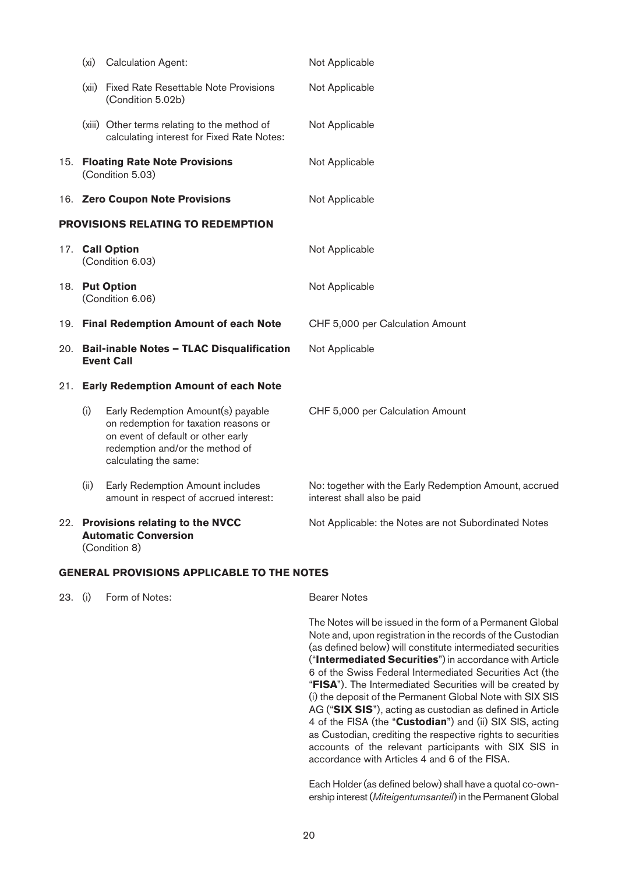|                                          | (x <sub>i</sub> )                                                  | <b>Calculation Agent:</b>                                                                                                                                                     | Not Applicable                                                                        |  |
|------------------------------------------|--------------------------------------------------------------------|-------------------------------------------------------------------------------------------------------------------------------------------------------------------------------|---------------------------------------------------------------------------------------|--|
|                                          |                                                                    | (xii) Fixed Rate Resettable Note Provisions<br>(Condition 5.02b)                                                                                                              | Not Applicable                                                                        |  |
|                                          |                                                                    | (xiii) Other terms relating to the method of<br>calculating interest for Fixed Rate Notes:                                                                                    | Not Applicable                                                                        |  |
|                                          |                                                                    | 15. Floating Rate Note Provisions<br>(Condition 5.03)                                                                                                                         | Not Applicable                                                                        |  |
|                                          |                                                                    | 16. Zero Coupon Note Provisions                                                                                                                                               | Not Applicable                                                                        |  |
| <b>PROVISIONS RELATING TO REDEMPTION</b> |                                                                    |                                                                                                                                                                               |                                                                                       |  |
|                                          |                                                                    | 17. Call Option<br>(Condition 6.03)                                                                                                                                           | Not Applicable                                                                        |  |
|                                          |                                                                    | 18. Put Option<br>(Condition 6.06)                                                                                                                                            | Not Applicable                                                                        |  |
|                                          |                                                                    | 19. Final Redemption Amount of each Note                                                                                                                                      | CHF 5,000 per Calculation Amount                                                      |  |
|                                          | 20. Bail-inable Notes - TLAC Disqualification<br><b>Event Call</b> |                                                                                                                                                                               | Not Applicable                                                                        |  |
|                                          | 21. Early Redemption Amount of each Note                           |                                                                                                                                                                               |                                                                                       |  |
|                                          | (i)                                                                | Early Redemption Amount(s) payable<br>on redemption for taxation reasons or<br>on event of default or other early<br>redemption and/or the method of<br>calculating the same: | CHF 5,000 per Calculation Amount                                                      |  |
|                                          | (ii)                                                               | Early Redemption Amount includes<br>amount in respect of accrued interest:                                                                                                    | No: together with the Early Redemption Amount, accrued<br>interest shall also be paid |  |
|                                          |                                                                    | 22. Provisions relating to the NVCC<br><b>Automatic Conversion</b><br>(Condition 8)                                                                                           | Not Applicable: the Notes are not Subordinated Notes                                  |  |
|                                          | <b>GENERAL PROVISIONS APPLICABLE TO THE NOTES</b>                  |                                                                                                                                                                               |                                                                                       |  |

23. (i) Form of Notes: Bearer Notes

 The Notes will be issued in the form of a Permanent Global Note and, upon registration in the records of the Custodian (as defined below) will constitute intermediated securities ("**Intermediated Securities**") in accordance with Article 6 of the Swiss Federal Intermediated Securities Act (the "**FISA**"). The Intermediated Securities will be created by (i) the deposit of the Permanent Global Note with SIX SIS AG ("**SIX SIS**"), acting as custodian as defined in Article 4 of the FISA (the "**Custodian**") and (ii) SIX SIS, acting as Custodian, crediting the respective rights to securities accounts of the relevant participants with SIX SIS in accordance with Articles 4 and 6 of the FISA.

 Each Holder (as defined below) shall have a quotal co-ownership interest (*Miteigentumsanteil*) in the Permanent Global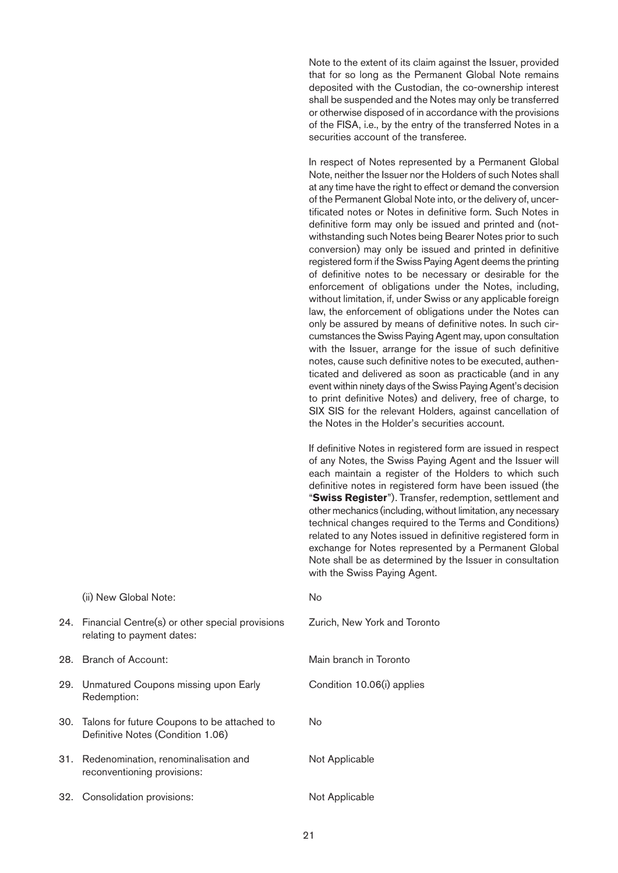Note to the extent of its claim against the Issuer, provided that for so long as the Permanent Global Note remains deposited with the Custodian, the co-ownership interest shall be suspended and the Notes may only be transferred or otherwise disposed of in accordance with the provisions of the FISA, i.e., by the entry of the transferred Notes in a securities account of the transferee.

 In respect of Notes represented by a Permanent Global Note, neither the Issuer nor the Holders of such Notes shall at any time have the right to effect or demand the conversion of the Permanent Global Note into, or the delivery of, uncertificated notes or Notes in definitive form. Such Notes in definitive form may only be issued and printed and (notwithstanding such Notes being Bearer Notes prior to such conversion) may only be issued and printed in definitive registered form if the Swiss Paying Agent deems the printing of definitive notes to be necessary or desirable for the enforcement of obligations under the Notes, including, without limitation, if, under Swiss or any applicable foreign law, the enforcement of obligations under the Notes can only be assured by means of definitive notes. In such circumstances the Swiss Paying Agent may, upon consultation with the Issuer, arrange for the issue of such definitive notes, cause such definitive notes to be executed, authenticated and delivered as soon as practicable (and in any event within ninety days of the Swiss Paying Agent's decision to print definitive Notes) and delivery, free of charge, to SIX SIS for the relevant Holders, against cancellation of the Notes in the Holder's securities account.

 If definitive Notes in registered form are issued in respect of any Notes, the Swiss Paying Agent and the Issuer will each maintain a register of the Holders to which such definitive notes in registered form have been issued (the "**Swiss Register**"). Transfer, redemption, settlement and other mechanics (including, without limitation, any necessary technical changes required to the Terms and Conditions) related to any Notes issued in definitive registered form in exchange for Notes represented by a Permanent Global Note shall be as determined by the Issuer in consultation with the Swiss Paying Agent.

| (ii) New Global Note:                                                                | No                           |
|--------------------------------------------------------------------------------------|------------------------------|
| 24. Financial Centre(s) or other special provisions<br>relating to payment dates:    | Zurich, New York and Toronto |
| 28. Branch of Account:                                                               | Main branch in Toronto       |
| 29. Unmatured Coupons missing upon Early<br>Redemption:                              | Condition 10.06(i) applies   |
| 30. Talons for future Coupons to be attached to<br>Definitive Notes (Condition 1.06) | No.                          |
| 31. Redenomination, renominalisation and<br>reconventioning provisions:              | Not Applicable               |
| 32. Consolidation provisions:                                                        | Not Applicable               |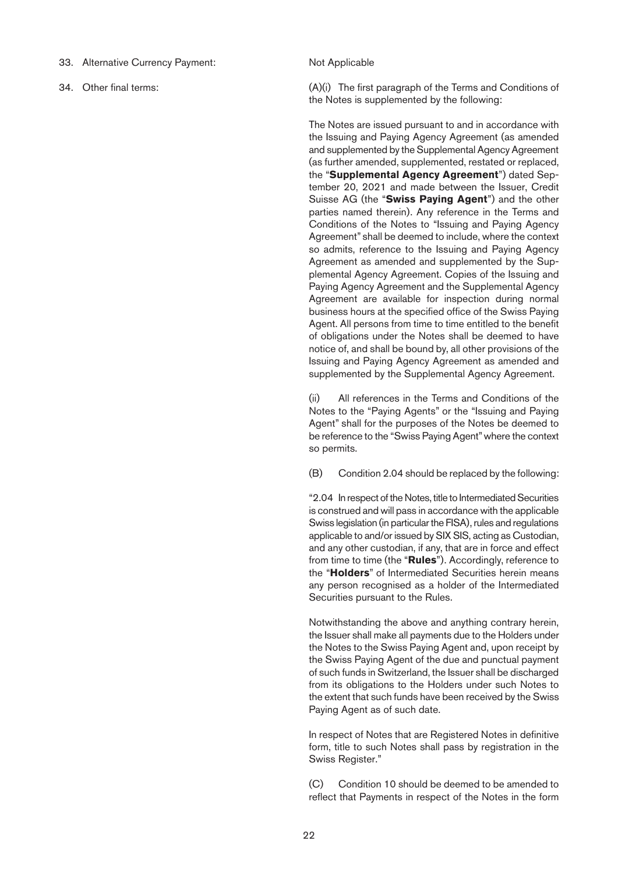33. Alternative Currency Payment: Not Applicable

34. Other final terms: (A)(i) The first paragraph of the Terms and Conditions of the Notes is supplemented by the following:

> The Notes are issued pursuant to and in accordance with the Issuing and Paying Agency Agreement (as amended and supplemented by the Supplemental Agency Agreement (as further amended, supplemented, restated or replaced, the "**Supplemental Agency Agreement**") dated September 20, 2021 and made between the Issuer, Credit Suisse AG (the "**Swiss Paying Agent**") and the other parties named therein). Any reference in the Terms and Conditions of the Notes to "Issuing and Paying Agency Agreement" shall be deemed to include, where the context so admits, reference to the Issuing and Paying Agency Agreement as amended and supplemented by the Supplemental Agency Agreement. Copies of the Issuing and Paying Agency Agreement and the Supplemental Agency Agreement are available for inspection during normal business hours at the specified office of the Swiss Paying Agent. All persons from time to time entitled to the benefit of obligations under the Notes shall be deemed to have notice of, and shall be bound by, all other provisions of the Issuing and Paying Agency Agreement as amended and supplemented by the Supplemental Agency Agreement.

> (ii) All references in the Terms and Conditions of the Notes to the "Paying Agents" or the "Issuing and Paying Agent" shall for the purposes of the Notes be deemed to be reference to the "Swiss Paying Agent" where the context so permits.

> (B) Condition 2.04 should be replaced by the following:

 "2.04 In respect of the Notes, title to Intermediated Securities is construed and will pass in accordance with the applicable Swiss legislation (in particular the FISA), rules and regulations applicable to and/or issued by SIX SIS, acting as Custodian, and any other custodian, if any, that are in force and effect from time to time (the "**Rules**"). Accordingly, reference to the "**Holders**" of Intermediated Securities herein means any person recognised as a holder of the Intermediated Securities pursuant to the Rules.

 Notwithstanding the above and anything contrary herein, the Issuer shall make all payments due to the Holders under the Notes to the Swiss Paying Agent and, upon receipt by the Swiss Paying Agent of the due and punctual payment of such funds in Switzerland, the Issuer shall be discharged from its obligations to the Holders under such Notes to the extent that such funds have been received by the Swiss Paying Agent as of such date.

 In respect of Notes that are Registered Notes in definitive form, title to such Notes shall pass by registration in the Swiss Register."

 (C) Condition 10 should be deemed to be amended to reflect that Payments in respect of the Notes in the form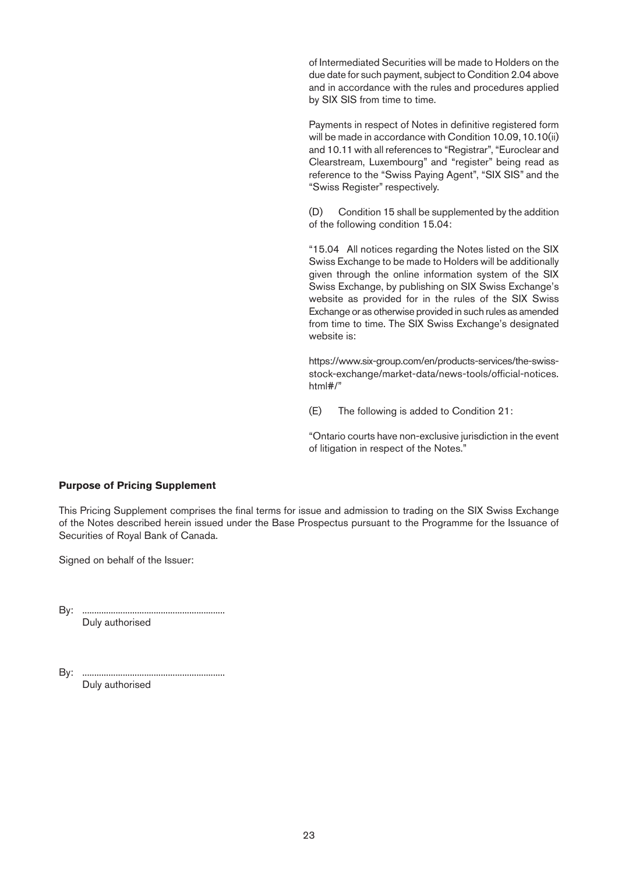of Intermediated Securities will be made to Holders on the due date for such payment, subject to Condition 2.04 above and in accordance with the rules and procedures applied by SIX SIS from time to time.

 Payments in respect of Notes in definitive registered form will be made in accordance with Condition 10.09, 10.10(ii) and 10.11 with all references to "Registrar", "Euroclear and Clearstream, Luxembourg" and "register" being read as reference to the "Swiss Paying Agent", "SIX SIS" and the "Swiss Register" respectively.

 (D) Condition 15 shall be supplemented by the addition of the following condition 15.04:

 "15.04 All notices regarding the Notes listed on the SIX Swiss Exchange to be made to Holders will be additionally given through the online information system of the SIX Swiss Exchange, by publishing on SIX Swiss Exchange's website as provided for in the rules of the SIX Swiss Exchange or as otherwise provided in such rules as amended from time to time. The SIX Swiss Exchange's designated website is:

 https://www.six-group.com/en/products-services/the-swissstock-exchange/market-data/news-tools/official-notices. html#/"

(E) The following is added to Condition 21:

 "Ontario courts have non-exclusive jurisdiction in the event of litigation in respect of the Notes."

#### **Purpose of Pricing Supplement**

This Pricing Supplement comprises the final terms for issue and admission to trading on the SIX Swiss Exchange of the Notes described herein issued under the Base Prospectus pursuant to the Programme for the Issuance of Securities of Royal Bank of Canada.

Signed on behalf of the Issuer:

By: ............................................................ Duly authorised

By: ............................................................ Duly authorised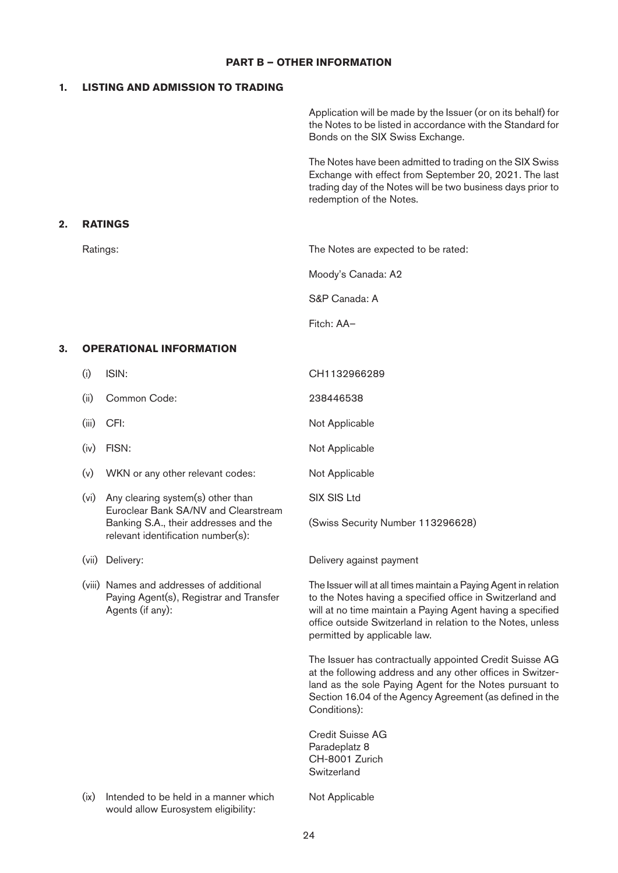# **PART B – OTHER INFORMATION**

# **1. LISTING AND ADMISSION TO TRADING**

**2. RATINGS**

|    |          |                                                                                                         | Application will be made by the Issuer (or on its behalf) for<br>the Notes to be listed in accordance with the Standard for<br>Bonds on the SIX Swiss Exchange.                                                                                                                            |
|----|----------|---------------------------------------------------------------------------------------------------------|--------------------------------------------------------------------------------------------------------------------------------------------------------------------------------------------------------------------------------------------------------------------------------------------|
|    |          |                                                                                                         | The Notes have been admitted to trading on the SIX Swiss<br>Exchange with effect from September 20, 2021. The last<br>trading day of the Notes will be two business days prior to<br>redemption of the Notes.                                                                              |
| 2. |          | <b>RATINGS</b>                                                                                          |                                                                                                                                                                                                                                                                                            |
|    | Ratings: |                                                                                                         | The Notes are expected to be rated:                                                                                                                                                                                                                                                        |
|    |          |                                                                                                         | Moody's Canada: A2                                                                                                                                                                                                                                                                         |
|    |          |                                                                                                         | S&P Canada: A                                                                                                                                                                                                                                                                              |
|    |          |                                                                                                         | Fitch: AA-                                                                                                                                                                                                                                                                                 |
| 3. |          | <b>OPERATIONAL INFORMATION</b>                                                                          |                                                                                                                                                                                                                                                                                            |
|    | (i)      | ISIN:                                                                                                   | CH1132966289                                                                                                                                                                                                                                                                               |
|    | (ii)     | Common Code:                                                                                            | 238446538                                                                                                                                                                                                                                                                                  |
|    | (iii)    | CFI:                                                                                                    | Not Applicable                                                                                                                                                                                                                                                                             |
|    | (iv)     | FISN:                                                                                                   | Not Applicable                                                                                                                                                                                                                                                                             |
|    | (v)      | WKN or any other relevant codes:                                                                        | Not Applicable                                                                                                                                                                                                                                                                             |
|    | (vi)     | Any clearing system(s) other than<br>Euroclear Bank SA/NV and Clearstream                               | <b>SIX SIS Ltd</b>                                                                                                                                                                                                                                                                         |
|    |          | Banking S.A., their addresses and the<br>relevant identification number(s):                             | (Swiss Security Number 113296628)                                                                                                                                                                                                                                                          |
|    |          | (vii) Delivery:                                                                                         | Delivery against payment                                                                                                                                                                                                                                                                   |
|    |          | (viii) Names and addresses of additional<br>Paying Agent(s), Registrar and Transfer<br>Agents (if any): | The Issuer will at all times maintain a Paying Agent in relation<br>to the Notes having a specified office in Switzerland and<br>will at no time maintain a Paying Agent having a specified<br>office outside Switzerland in relation to the Notes, unless<br>permitted by applicable law. |
|    |          |                                                                                                         | The Issuer has contractually appointed Credit Suisse AG<br>at the following address and any other offices in Switzer-<br>land as the sole Paying Agent for the Notes pursuant to<br>Section 16.04 of the Agency Agreement (as defined in the<br>Conditions):                               |
|    |          |                                                                                                         | <b>Credit Suisse AG</b><br>Paradeplatz 8<br>CH-8001 Zurich<br>Switzerland                                                                                                                                                                                                                  |
|    | (ix)     | Intended to be held in a manner which<br>would allow Eurosystem eligibility:                            | Not Applicable                                                                                                                                                                                                                                                                             |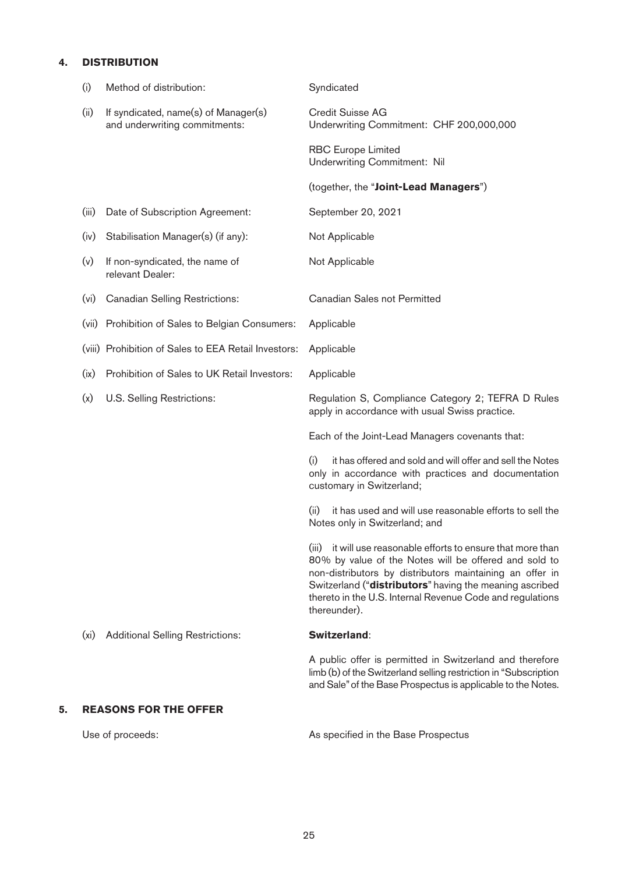# **4. DISTRIBUTION**

|    | (i)               | Method of distribution:                                               | Syndicated                                                                                                                                                                                                                                                                                                                 |
|----|-------------------|-----------------------------------------------------------------------|----------------------------------------------------------------------------------------------------------------------------------------------------------------------------------------------------------------------------------------------------------------------------------------------------------------------------|
|    | (ii)              | If syndicated, name(s) of Manager(s)<br>and underwriting commitments: | Credit Suisse AG<br>Underwriting Commitment: CHF 200,000,000                                                                                                                                                                                                                                                               |
|    |                   |                                                                       | <b>RBC Europe Limited</b><br><b>Underwriting Commitment: Nil</b>                                                                                                                                                                                                                                                           |
|    |                   |                                                                       | (together, the "Joint-Lead Managers")                                                                                                                                                                                                                                                                                      |
|    | (iii)             | Date of Subscription Agreement:                                       | September 20, 2021                                                                                                                                                                                                                                                                                                         |
|    | (iv)              | Stabilisation Manager(s) (if any):                                    | Not Applicable                                                                                                                                                                                                                                                                                                             |
|    | (v)               | If non-syndicated, the name of<br>relevant Dealer:                    | Not Applicable                                                                                                                                                                                                                                                                                                             |
|    | (v <sub>i</sub> ) | <b>Canadian Selling Restrictions:</b>                                 | <b>Canadian Sales not Permitted</b>                                                                                                                                                                                                                                                                                        |
|    | (vii)             | Prohibition of Sales to Belgian Consumers:                            | Applicable                                                                                                                                                                                                                                                                                                                 |
|    |                   | (viii) Prohibition of Sales to EEA Retail Investors:                  | Applicable                                                                                                                                                                                                                                                                                                                 |
|    | (ix)              | Prohibition of Sales to UK Retail Investors:                          | Applicable                                                                                                                                                                                                                                                                                                                 |
|    | (x)               | U.S. Selling Restrictions:                                            | Regulation S, Compliance Category 2; TEFRA D Rules<br>apply in accordance with usual Swiss practice.                                                                                                                                                                                                                       |
|    |                   |                                                                       | Each of the Joint-Lead Managers covenants that:                                                                                                                                                                                                                                                                            |
|    |                   |                                                                       | (i)<br>it has offered and sold and will offer and sell the Notes<br>only in accordance with practices and documentation<br>customary in Switzerland;                                                                                                                                                                       |
|    |                   |                                                                       | (ii)<br>it has used and will use reasonable efforts to sell the<br>Notes only in Switzerland; and                                                                                                                                                                                                                          |
|    |                   |                                                                       | (iii) it will use reasonable efforts to ensure that more than<br>80% by value of the Notes will be offered and sold to<br>non-distributors by distributors maintaining an offer in<br>Switzerland ("distributors" having the meaning ascribed<br>thereto in the U.S. Internal Revenue Code and regulations<br>thereunder). |
|    | (x <sub>i</sub> ) | <b>Additional Selling Restrictions:</b>                               | Switzerland:                                                                                                                                                                                                                                                                                                               |
|    |                   |                                                                       | A public offer is permitted in Switzerland and therefore<br>limb (b) of the Switzerland selling restriction in "Subscription<br>and Sale" of the Base Prospectus is applicable to the Notes.                                                                                                                               |
| 5. |                   | <b>REASONS FOR THE OFFER</b>                                          |                                                                                                                                                                                                                                                                                                                            |
|    |                   | Use of proceeds:                                                      | As specified in the Base Prospectus                                                                                                                                                                                                                                                                                        |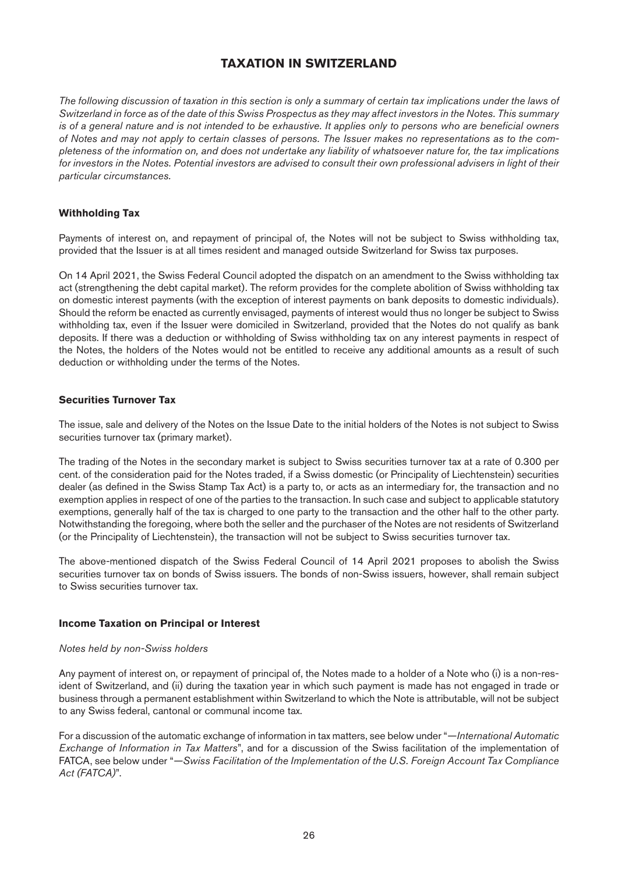# <span id="page-25-0"></span>**TAXATION IN SWITZERLAND**

<span id="page-25-1"></span>*The following discussion of taxation in this section is only a summary of certain tax implications under the laws of Switzerland in force as of the date of this Swiss Prospectus as they may affect investors in the Notes. This summary is of a general nature and is not intended to be exhaustive. It applies only to persons who are beneficial owners of Notes and may not apply to certain classes of persons. The Issuer makes no representations as to the completeness of the information on, and does not undertake any liability of whatsoever nature for, the tax implications for investors in the Notes. Potential investors are advised to consult their own professional advisers in light of their particular circumstances.*

#### **Withholding Tax**

Payments of interest on, and repayment of principal of, the Notes will not be subject to Swiss withholding tax, provided that the Issuer is at all times resident and managed outside Switzerland for Swiss tax purposes.

On 14 April 2021, the Swiss Federal Council adopted the dispatch on an amendment to the Swiss withholding tax act (strengthening the debt capital market). The reform provides for the complete abolition of Swiss withholding tax on domestic interest payments (with the exception of interest payments on bank deposits to domestic individuals). Should the reform be enacted as currently envisaged, payments of interest would thus no longer be subject to Swiss withholding tax, even if the Issuer were domiciled in Switzerland, provided that the Notes do not qualify as bank deposits. If there was a deduction or withholding of Swiss withholding tax on any interest payments in respect of the Notes, the holders of the Notes would not be entitled to receive any additional amounts as a result of such deduction or withholding under the terms of the Notes.

#### **Securities Turnover Tax**

The issue, sale and delivery of the Notes on the Issue Date to the initial holders of the Notes is not subject to Swiss securities turnover tax (primary market).

The trading of the Notes in the secondary market is subject to Swiss securities turnover tax at a rate of 0.300 per cent. of the consideration paid for the Notes traded, if a Swiss domestic (or Principality of Liechtenstein) securities dealer (as defined in the Swiss Stamp Tax Act) is a party to, or acts as an intermediary for, the transaction and no exemption applies in respect of one of the parties to the transaction. In such case and subject to applicable statutory exemptions, generally half of the tax is charged to one party to the transaction and the other half to the other party. Notwithstanding the foregoing, where both the seller and the purchaser of the Notes are not residents of Switzerland (or the Principality of Liechtenstein), the transaction will not be subject to Swiss securities turnover tax.

The above-mentioned dispatch of the Swiss Federal Council of 14 April 2021 proposes to abolish the Swiss securities turnover tax on bonds of Swiss issuers. The bonds of non-Swiss issuers, however, shall remain subject to Swiss securities turnover tax.

#### **Income Taxation on Principal or Interest**

#### *Notes held by non-Swiss holders*

Any payment of interest on, or repayment of principal of, the Notes made to a holder of a Note who (i) is a non-resident of Switzerland, and (ii) during the taxation year in which such payment is made has not engaged in trade or business through a permanent establishment within Switzerland to which the Note is attributable, will not be subject to any Swiss federal, cantonal or communal income tax.

For a discussion of the automatic exchange of information in tax matters, see below under "*—International Automatic Exchange of Information in Tax Matters*", and for a discussion of the Swiss facilitation of the implementation of FATCA, see below under "*—Swiss Facilitation of the Implementation of the U.S. Foreign Account Tax Compliance Act (FATCA)*".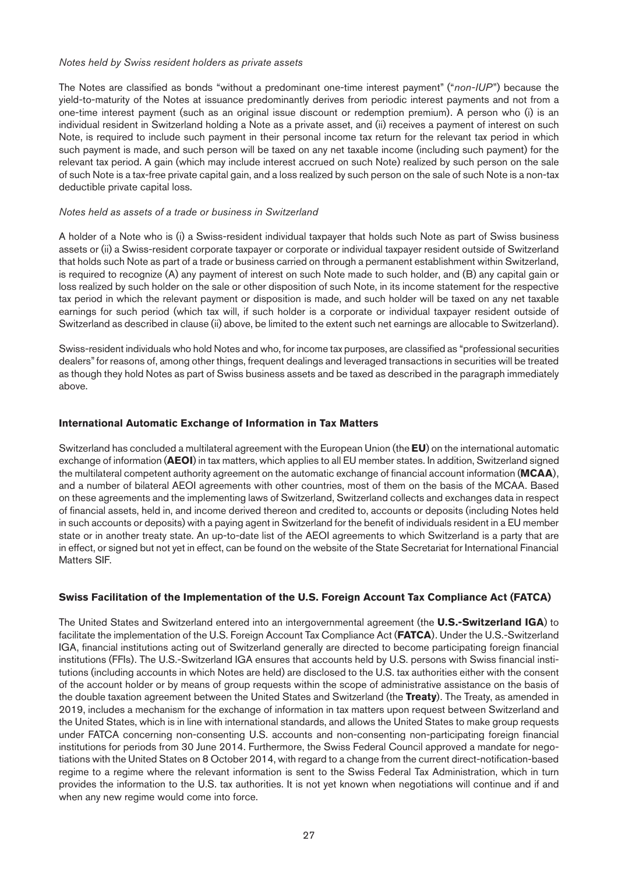#### *Notes held by Swiss resident holders as private assets*

The Notes are classified as bonds "without a predominant one-time interest payment" ("*non-IUP*") because the yield-to-maturity of the Notes at issuance predominantly derives from periodic interest payments and not from a one-time interest payment (such as an original issue discount or redemption premium). A person who (i) is an individual resident in Switzerland holding a Note as a private asset, and (ii) receives a payment of interest on such Note, is required to include such payment in their personal income tax return for the relevant tax period in which such payment is made, and such person will be taxed on any net taxable income (including such payment) for the relevant tax period. A gain (which may include interest accrued on such Note) realized by such person on the sale of such Note is a tax-free private capital gain, and a loss realized by such person on the sale of such Note is a non-tax deductible private capital loss.

#### *Notes held as assets of a trade or business in Switzerland*

A holder of a Note who is (i) a Swiss-resident individual taxpayer that holds such Note as part of Swiss business assets or (ii) a Swiss-resident corporate taxpayer or corporate or individual taxpayer resident outside of Switzerland that holds such Note as part of a trade or business carried on through a permanent establishment within Switzerland, is required to recognize (A) any payment of interest on such Note made to such holder, and (B) any capital gain or loss realized by such holder on the sale or other disposition of such Note, in its income statement for the respective tax period in which the relevant payment or disposition is made, and such holder will be taxed on any net taxable earnings for such period (which tax will, if such holder is a corporate or individual taxpayer resident outside of Switzerland as described in clause (ii) above, be limited to the extent such net earnings are allocable to Switzerland).

Swiss-resident individuals who hold Notes and who, for income tax purposes, are classified as "professional securities dealers" for reasons of, among other things, frequent dealings and leveraged transactions in securities will be treated as though they hold Notes as part of Swiss business assets and be taxed as described in the paragraph immediately above.

#### **International Automatic Exchange of Information in Tax Matters**

Switzerland has concluded a multilateral agreement with the European Union (the **EU**) on the international automatic exchange of information (**AEOI**) in tax matters, which applies to all EU member states. In addition, Switzerland signed the multilateral competent authority agreement on the automatic exchange of financial account information (**MCAA**), and a number of bilateral AEOI agreements with other countries, most of them on the basis of the MCAA. Based on these agreements and the implementing laws of Switzerland, Switzerland collects and exchanges data in respect of financial assets, held in, and income derived thereon and credited to, accounts or deposits (including Notes held in such accounts or deposits) with a paying agent in Switzerland for the benefit of individuals resident in a EU member state or in another treaty state. An up-to-date list of the AEOI agreements to which Switzerland is a party that are in effect, or signed but not yet in effect, can be found on the website of the State Secretariat for International Financial Matters SIF.

#### **Swiss Facilitation of the Implementation of the U.S. Foreign Account Tax Compliance Act (FATCA)**

The United States and Switzerland entered into an intergovernmental agreement (the **U.S.-Switzerland IGA**) to facilitate the implementation of the U.S. Foreign Account Tax Compliance Act (**FATCA**). Under the U.S.-Switzerland IGA, financial institutions acting out of Switzerland generally are directed to become participating foreign financial institutions (FFIs). The U.S.-Switzerland IGA ensures that accounts held by U.S. persons with Swiss financial institutions (including accounts in which Notes are held) are disclosed to the U.S. tax authorities either with the consent of the account holder or by means of group requests within the scope of administrative assistance on the basis of the double taxation agreement between the United States and Switzerland (the **Treaty**). The Treaty, as amended in 2019, includes a mechanism for the exchange of information in tax matters upon request between Switzerland and the United States, which is in line with international standards, and allows the United States to make group requests under FATCA concerning non-consenting U.S. accounts and non-consenting non-participating foreign financial institutions for periods from 30 June 2014. Furthermore, the Swiss Federal Council approved a mandate for negotiations with the United States on 8 October 2014, with regard to a change from the current direct-notification-based regime to a regime where the relevant information is sent to the Swiss Federal Tax Administration, which in turn provides the information to the U.S. tax authorities. It is not yet known when negotiations will continue and if and when any new regime would come into force.